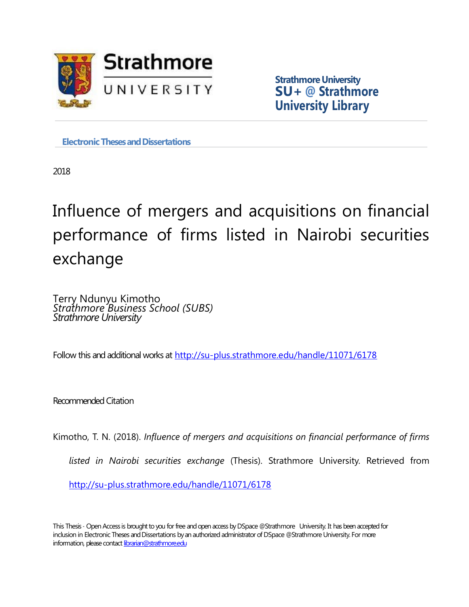

**Strathmore University SU+ @ Strathmore University Library**

**Electronic Theses and Dissertations** 

2018

# Influence of mergers and acquisitions on financial performance of firms listed in Nairobi securities exchange

Terry Ndunyu Kimotho *Strathmore Business School (SUBS) Strathmore University*

Follow this and additional works at <http://su-plus.strathmore.edu/handle/11071/6178>

Recommended Citation

Kimotho, T. N. (2018). *Influence of mergers and acquisitions on financial performance of firms listed in Nairobi securities exchange* (Thesis). Strathmore University. Retrieved from <http://su-plus.strathmore.edu/handle/11071/6178>

This Thesis - Open Access is brought to you for free and open access by DSpace @Strathmore University. It has been accepted for inclusion in Electronic Theses and Dissertations by an authorized administrator of DSpace @Strathmore University. For more information, please contact librarian@strathmore.edu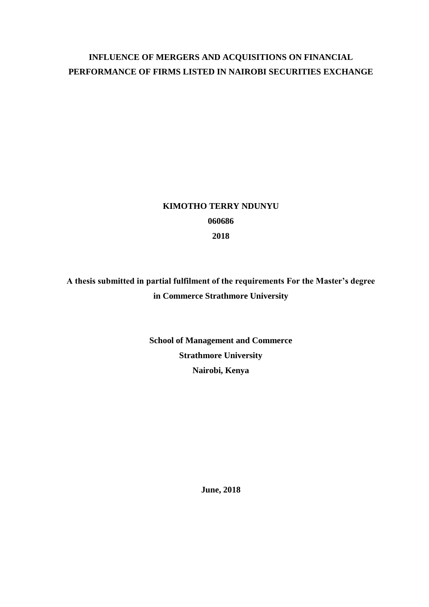# **INFLUENCE OF MERGERS AND ACQUISITIONS ON FINANCIAL PERFORMANCE OF FIRMS LISTED IN NAIROBI SECURITIES EXCHANGE**

# **KIMOTHO TERRY NDUNYU 060686 2018**

**A thesis submitted in partial fulfilment of the requirements For the Master's degree in Commerce Strathmore University**

> **School of Management and Commerce Strathmore University Nairobi, Kenya**

> > **June, 2018**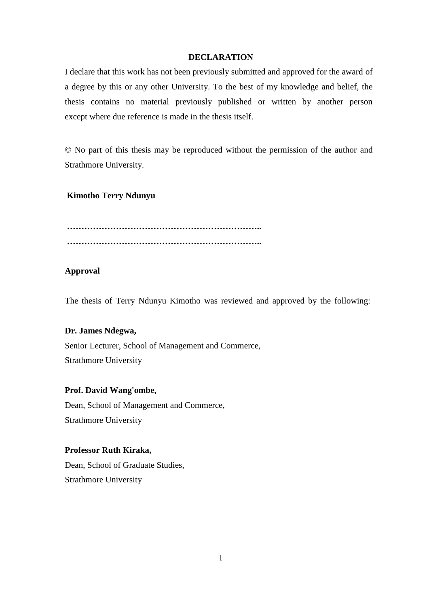# **DECLARATION**

<span id="page-2-1"></span><span id="page-2-0"></span>I declare that this work has not been previously submitted and approved for the award of a degree by this or any other University. To the best of my knowledge and belief, the thesis contains no material previously published or written by another person except where due reference is made in the thesis itself.

© No part of this thesis may be reproduced without the permission of the author and Strathmore University.

# **Kimotho Terry Ndunyu**

**………………………………………………………….. …………………………………………………………..**

# **Approval**

The thesis of Terry Ndunyu Kimotho was reviewed and approved by the following:

# **Dr. James Ndegwa,**

Senior Lecturer, School of Management and Commerce, Strathmore University

# **Prof. David Wang'ombe,**

Dean, School of Management and Commerce, Strathmore University

# **Professor Ruth Kiraka,**

Dean, School of Graduate Studies, Strathmore University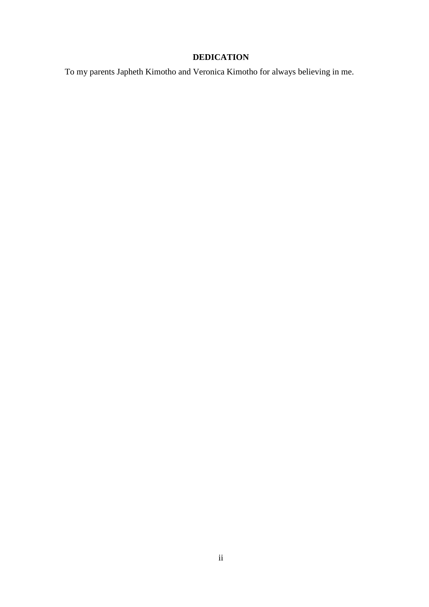# **DEDICATION**

To my parents Japheth Kimotho and Veronica Kimotho for always believing in me.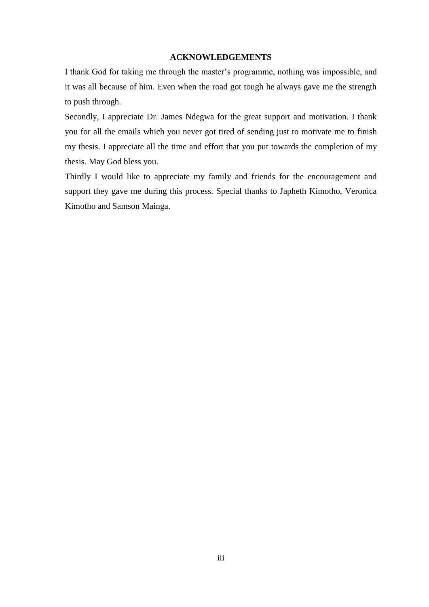#### **ACKNOWLEDGEMENTS**

<span id="page-4-0"></span>I thank God for taking me through the master's programme, nothing was impossible, and it was all because of him. Even when the road got tough he always gave me the strength to push through.

Secondly, I appreciate Dr. James Ndegwa for the great support and motivation. I thank you for all the emails which you never got tired of sending just to motivate me to finish my thesis. I appreciate all the time and effort that you put towards the completion of my thesis. May God bless you.

Thirdly I would like to appreciate my family and friends for the encouragement and support they gave me during this process. Special thanks to Japheth Kimotho, Veronica Kimotho and Samson Mainga.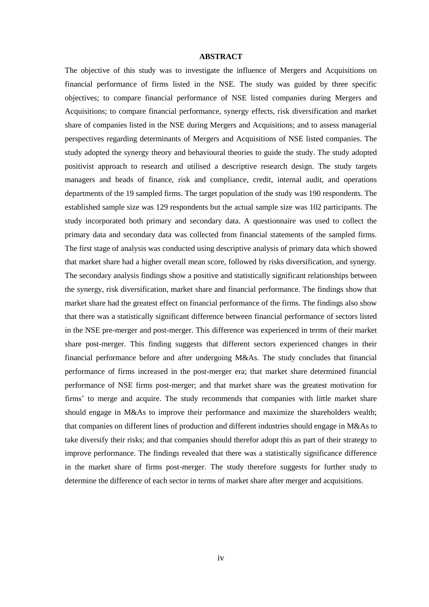#### **ABSTRACT**

<span id="page-5-0"></span>The objective of this study was to investigate the influence of Mergers and Acquisitions on financial performance of firms listed in the NSE. The study was guided by three specific objectives; to compare financial performance of NSE listed companies during Mergers and Acquisitions; to compare financial performance, synergy effects, risk diversification and market share of companies listed in the NSE during Mergers and Acquisitions; and to assess managerial perspectives regarding determinants of Mergers and Acquisitions of NSE listed companies. The study adopted the synergy theory and behavioural theories to guide the study. The study adopted positivist approach to research and utilised a descriptive research design. The study targets managers and heads of finance, risk and compliance, credit, internal audit, and operations departments of the 19 sampled firms. The target population of the study was 190 respondents. The established sample size was 129 respondents but the actual sample size was 102 participants. The study incorporated both primary and secondary data. A questionnaire was used to collect the primary data and secondary data was collected from financial statements of the sampled firms. The first stage of analysis was conducted using descriptive analysis of primary data which showed that market share had a higher overall mean score, followed by risks diversification, and synergy. The secondary analysis findings show a positive and statistically significant relationships between the synergy, risk diversification, market share and financial performance. The findings show that market share had the greatest effect on financial performance of the firms. The findings also show that there was a statistically significant difference between financial performance of sectors listed in the NSE pre-merger and post-merger. This difference was experienced in terms of their market share post-merger. This finding suggests that different sectors experienced changes in their financial performance before and after undergoing M&As. The study concludes that financial performance of firms increased in the post-merger era; that market share determined financial performance of NSE firms post-merger; and that market share was the greatest motivation for firms' to merge and acquire. The study recommends that companies with little market share should engage in M&As to improve their performance and maximize the shareholders wealth; that companies on different lines of production and different industries should engage in M&As to take diversify their risks; and that companies should therefor adopt this as part of their strategy to improve performance. The findings revealed that there was a statistically significance difference in the market share of firms post-merger. The study therefore suggests for further study to determine the difference of each sector in terms of market share after merger and acquisitions.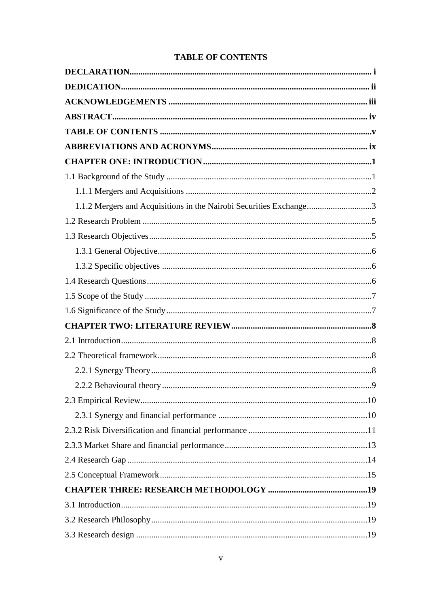<span id="page-6-0"></span>

| 1.1.2 Mergers and Acquisitions in the Nairobi Securities Exchange3 |  |
|--------------------------------------------------------------------|--|
|                                                                    |  |
|                                                                    |  |
|                                                                    |  |
|                                                                    |  |
|                                                                    |  |
|                                                                    |  |
|                                                                    |  |
|                                                                    |  |
|                                                                    |  |
|                                                                    |  |
|                                                                    |  |
|                                                                    |  |
|                                                                    |  |
|                                                                    |  |
|                                                                    |  |
|                                                                    |  |
|                                                                    |  |
|                                                                    |  |
|                                                                    |  |
|                                                                    |  |
|                                                                    |  |
|                                                                    |  |

# **TABLE OF CONTENTS**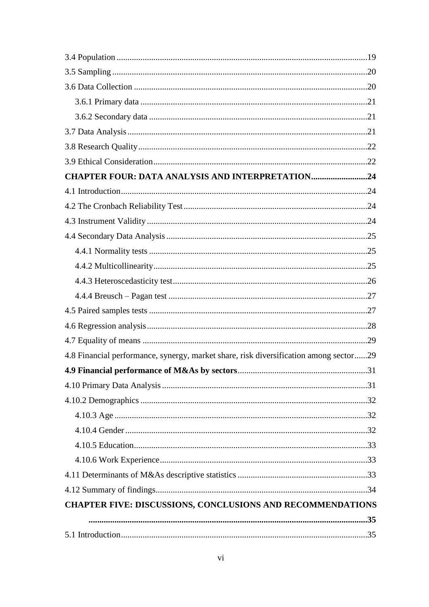| <b>CHAPTER FOUR: DATA ANALYSIS AND INTERPRETATION24</b>                               |  |
|---------------------------------------------------------------------------------------|--|
|                                                                                       |  |
|                                                                                       |  |
|                                                                                       |  |
|                                                                                       |  |
|                                                                                       |  |
|                                                                                       |  |
|                                                                                       |  |
|                                                                                       |  |
|                                                                                       |  |
|                                                                                       |  |
|                                                                                       |  |
| 4.8 Financial performance, synergy, market share, risk diversification among sector29 |  |
|                                                                                       |  |
|                                                                                       |  |
|                                                                                       |  |
|                                                                                       |  |
|                                                                                       |  |
|                                                                                       |  |
|                                                                                       |  |
|                                                                                       |  |
|                                                                                       |  |
| CHAPTER FIVE: DISCUSSIONS, CONCLUSIONS AND RECOMMENDATIONS                            |  |
|                                                                                       |  |
|                                                                                       |  |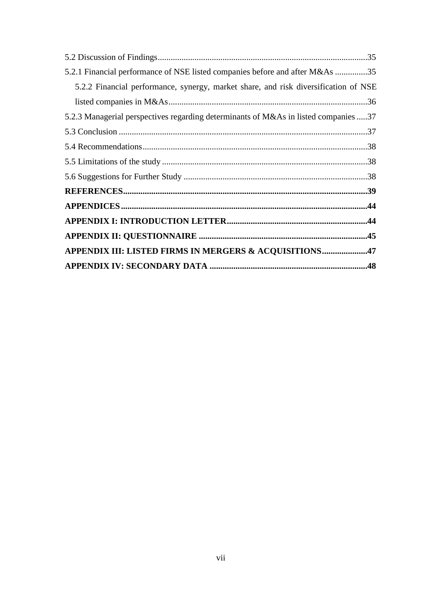| 5.2.1 Financial performance of NSE listed companies before and after M&As 35        |  |
|-------------------------------------------------------------------------------------|--|
| 5.2.2 Financial performance, synergy, market share, and risk diversification of NSE |  |
|                                                                                     |  |
| 5.2.3 Managerial perspectives regarding determinants of M&As in listed companies 37 |  |
|                                                                                     |  |
|                                                                                     |  |
|                                                                                     |  |
|                                                                                     |  |
|                                                                                     |  |
|                                                                                     |  |
|                                                                                     |  |
|                                                                                     |  |
| APPENDIX III: LISTED FIRMS IN MERGERS & ACQUISITIONS47                              |  |
|                                                                                     |  |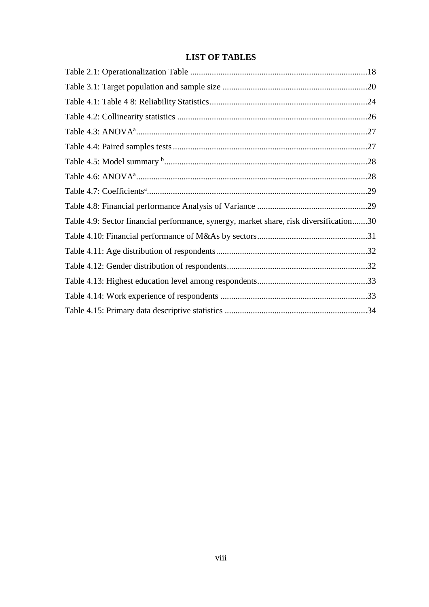# **LIST OF TABLES**

| Table 4.9: Sector financial performance, synergy, market share, risk diversification30 |  |
|----------------------------------------------------------------------------------------|--|
|                                                                                        |  |
|                                                                                        |  |
|                                                                                        |  |
|                                                                                        |  |
|                                                                                        |  |
|                                                                                        |  |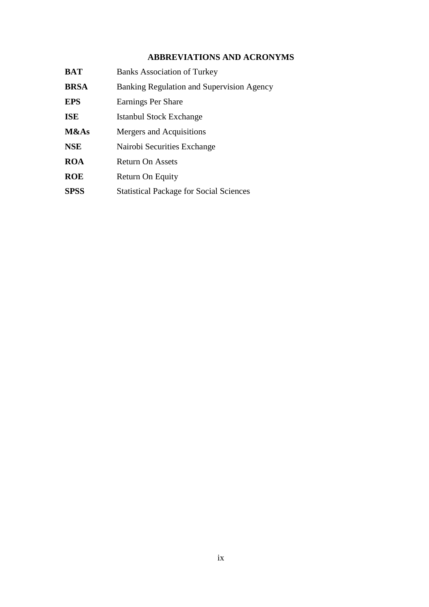# **ABBREVIATIONS AND ACRONYMS**

<span id="page-10-0"></span>

| <b>BAT</b>  | <b>Banks Association of Turkey</b>             |
|-------------|------------------------------------------------|
| <b>BRSA</b> | Banking Regulation and Supervision Agency      |
| <b>EPS</b>  | Earnings Per Share                             |
| <b>ISE</b>  | Istanbul Stock Exchange                        |
| M&As        | Mergers and Acquisitions                       |
| <b>NSE</b>  | Nairobi Securities Exchange                    |
| <b>ROA</b>  | <b>Return On Assets</b>                        |
| <b>ROE</b>  | Return On Equity                               |
| <b>SPSS</b> | <b>Statistical Package for Social Sciences</b> |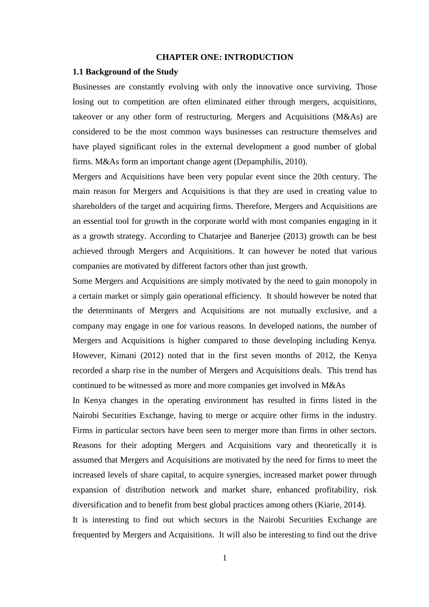#### **CHAPTER ONE: INTRODUCTION**

#### <span id="page-11-1"></span><span id="page-11-0"></span>**1.1 Background of the Study**

Businesses are constantly evolving with only the innovative once surviving. Those losing out to competition are often eliminated either through mergers, acquisitions, takeover or any other form of restructuring. Mergers and Acquisitions (M&As) are considered to be the most common ways businesses can restructure themselves and have played significant roles in the external development a good number of global firms. M&As form an important change agent (Depamphilis, 2010).

Mergers and Acquisitions have been very popular event since the 20th century. The main reason for Mergers and Acquisitions is that they are used in creating value to shareholders of the target and acquiring firms. Therefore, Mergers and Acquisitions are an essential tool for growth in the corporate world with most companies engaging in it as a growth strategy. According to Chatarjee and Banerjee (2013) growth can be best achieved through Mergers and Acquisitions. It can however be noted that various companies are motivated by different factors other than just growth.

Some Mergers and Acquisitions are simply motivated by the need to gain monopoly in a certain market or simply gain operational efficiency. It should however be noted that the determinants of Mergers and Acquisitions are not mutually exclusive, and a company may engage in one for various reasons. In developed nations, the number of Mergers and Acquisitions is higher compared to those developing including Kenya. However, Kimani (2012) noted that in the first seven months of 2012, the Kenya recorded a sharp rise in the number of Mergers and Acquisitions deals. This trend has continued to be witnessed as more and more companies get involved in M&As

In Kenya changes in the operating environment has resulted in firms listed in the Nairobi Securities Exchange, having to merge or acquire other firms in the industry. Firms in particular sectors have been seen to merger more than firms in other sectors. Reasons for their adopting Mergers and Acquisitions vary and theoretically it is assumed that Mergers and Acquisitions are motivated by the need for firms to meet the increased levels of share capital, to acquire synergies, increased market power through expansion of distribution network and market share, enhanced profitability, risk diversification and to benefit from best global practices among others (Kiarie, 2014).

It is interesting to find out which sectors in the Nairobi Securities Exchange are frequented by Mergers and Acquisitions. It will also be interesting to find out the drive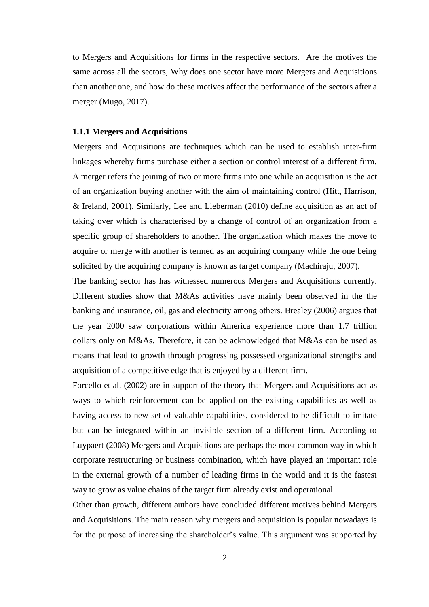to Mergers and Acquisitions for firms in the respective sectors. Are the motives the same across all the sectors, Why does one sector have more Mergers and Acquisitions than another one, and how do these motives affect the performance of the sectors after a merger (Mugo, 2017).

# <span id="page-12-0"></span>**1.1.1 Mergers and Acquisitions**

Mergers and Acquisitions are techniques which can be used to establish inter-firm linkages whereby firms purchase either a section or control interest of a different firm. A merger refers the joining of two or more firms into one while an acquisition is the act of an organization buying another with the aim of maintaining control (Hitt, Harrison, & Ireland, 2001). Similarly, Lee and Lieberman (2010) define acquisition as an act of taking over which is characterised by a change of control of an organization from a specific group of shareholders to another. The organization which makes the move to acquire or merge with another is termed as an acquiring company while the one being solicited by the acquiring company is known as target company (Machiraju, 2007).

The banking sector has has witnessed numerous Mergers and Acquisitions currently. Different studies show that M&As activities have mainly been observed in the the banking and insurance, oil, gas and electricity among others. Brealey (2006) argues that the year 2000 saw corporations within America experience more than 1.7 trillion dollars only on M&As. Therefore, it can be acknowledged that M&As can be used as means that lead to growth through progressing possessed organizational strengths and acquisition of a competitive edge that is enjoyed by a different firm.

Forcello et al. (2002) are in support of the theory that Mergers and Acquisitions act as ways to which reinforcement can be applied on the existing capabilities as well as having access to new set of valuable capabilities, considered to be difficult to imitate but can be integrated within an invisible section of a different firm. According to Luypaert (2008) Mergers and Acquisitions are perhaps the most common way in which corporate restructuring or business combination, which have played an important role in the external growth of a number of leading firms in the world and it is the fastest way to grow as value chains of the target firm already exist and operational.

Other than growth, different authors have concluded different motives behind Mergers and Acquisitions. The main reason why mergers and acquisition is popular nowadays is for the purpose of increasing the shareholder's value. This argument was supported by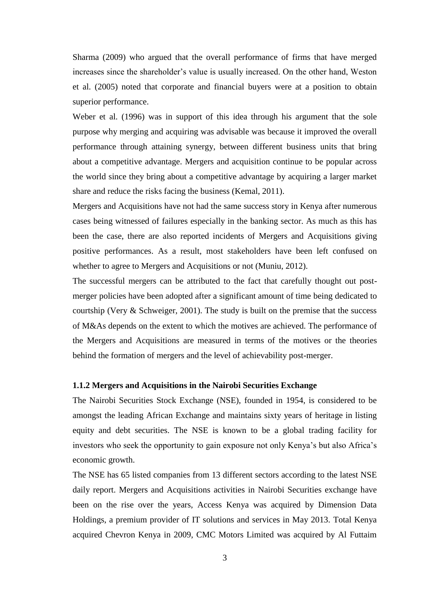Sharma (2009) who argued that the overall performance of firms that have merged increases since the shareholder's value is usually increased. On the other hand, Weston et al. (2005) noted that corporate and financial buyers were at a position to obtain superior performance.

Weber et al. (1996) was in support of this idea through his argument that the sole purpose why merging and acquiring was advisable was because it improved the overall performance through attaining synergy, between different business units that bring about a competitive advantage. Mergers and acquisition continue to be popular across the world since they bring about a competitive advantage by acquiring a larger market share and reduce the risks facing the business (Kemal, 2011).

Mergers and Acquisitions have not had the same success story in Kenya after numerous cases being witnessed of failures especially in the banking sector. As much as this has been the case, there are also reported incidents of Mergers and Acquisitions giving positive performances. As a result, most stakeholders have been left confused on whether to agree to Mergers and Acquisitions or not (Muniu, 2012).

The successful mergers can be attributed to the fact that carefully thought out postmerger policies have been adopted after a significant amount of time being dedicated to courtship (Very & Schweiger, 2001). The study is built on the premise that the success of M&As depends on the extent to which the motives are achieved. The performance of the Mergers and Acquisitions are measured in terms of the motives or the theories behind the formation of mergers and the level of achievability post-merger.

# <span id="page-13-0"></span>**1.1.2 Mergers and Acquisitions in the Nairobi Securities Exchange**

The Nairobi Securities Stock Exchange (NSE), founded in 1954, is considered to be amongst the leading African Exchange and maintains sixty years of heritage in listing equity and debt securities. The NSE is known to be a global trading facility for investors who seek the opportunity to gain exposure not only Kenya's but also Africa's economic growth.

The NSE has 65 listed companies from 13 different sectors according to the latest NSE daily report. Mergers and Acquisitions activities in Nairobi Securities exchange have been on the rise over the years, Access Kenya was acquired by Dimension Data Holdings, a premium provider of IT solutions and services in May 2013. Total Kenya acquired Chevron Kenya in 2009, CMC Motors Limited was acquired by Al Futtaim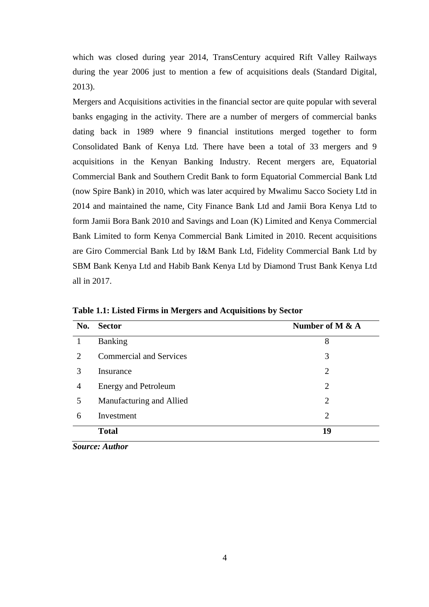which was closed during year 2014, TransCentury acquired Rift Valley Railways during the year 2006 just to mention a few of acquisitions deals (Standard Digital, 2013).

Mergers and Acquisitions activities in the financial sector are quite popular with several banks engaging in the activity. There are a number of mergers of commercial banks dating back in 1989 where 9 financial institutions merged together to form Consolidated Bank of Kenya Ltd. There have been a total of 33 mergers and 9 acquisitions in the Kenyan Banking Industry. Recent mergers are, Equatorial Commercial Bank and Southern Credit Bank to form Equatorial Commercial Bank Ltd (now Spire Bank) in 2010, which was later acquired by Mwalimu Sacco Society Ltd in 2014 and maintained the name, City Finance Bank Ltd and Jamii Bora Kenya Ltd to form Jamii Bora Bank 2010 and Savings and Loan (K) Limited and Kenya Commercial Bank Limited to form Kenya Commercial Bank Limited in 2010. Recent acquisitions are Giro Commercial Bank Ltd by I&M Bank Ltd, Fidelity Commercial Bank Ltd by SBM Bank Kenya Ltd and Habib Bank Kenya Ltd by Diamond Trust Bank Kenya Ltd all in 2017.

| No.                         | <b>Sector</b>                  | Number of M $\&$ A |
|-----------------------------|--------------------------------|--------------------|
|                             | <b>Banking</b>                 | 8                  |
| $\mathcal{D}_{\mathcal{L}}$ | <b>Commercial and Services</b> | 3                  |
| 3                           | Insurance                      | $\overline{2}$     |
| 4                           | <b>Energy and Petroleum</b>    | 2                  |
| 5                           | Manufacturing and Allied       | $\overline{2}$     |
| 6                           | Investment                     | $\overline{2}$     |
|                             | <b>Total</b>                   | 19                 |

**Table 1.1: Listed Firms in Mergers and Acquisitions by Sector** 

*Source: Author*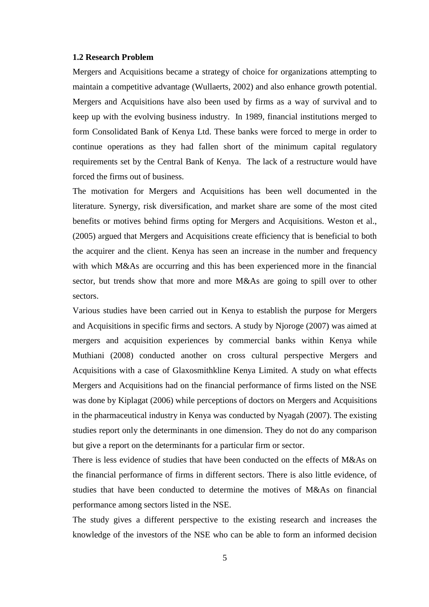#### <span id="page-15-0"></span>**1.2 Research Problem**

<span id="page-15-1"></span>Mergers and Acquisitions became a strategy of choice for organizations attempting to maintain a competitive advantage (Wullaerts, 2002) and also enhance growth potential. Mergers and Acquisitions have also been used by firms as a way of survival and to keep up with the evolving business industry. In 1989, financial institutions merged to form Consolidated Bank of Kenya Ltd. These banks were forced to merge in order to continue operations as they had fallen short of the minimum capital regulatory requirements set by the Central Bank of Kenya. The lack of a restructure would have forced the firms out of business.

The motivation for Mergers and Acquisitions has been well documented in the literature. Synergy, risk diversification, and market share are some of the most cited benefits or motives behind firms opting for Mergers and Acquisitions. Weston et al., (2005) argued that Mergers and Acquisitions create efficiency that is beneficial to both the acquirer and the client. Kenya has seen an increase in the number and frequency with which M&As are occurring and this has been experienced more in the financial sector, but trends show that more and more M&As are going to spill over to other sectors.

Various studies have been carried out in Kenya to establish the purpose for Mergers and Acquisitions in specific firms and sectors. A study by Njoroge (2007) was aimed at mergers and acquisition experiences by commercial banks within Kenya while Muthiani (2008) conducted another on cross cultural perspective Mergers and Acquisitions with a case of Glaxosmithkline Kenya Limited. A study on what effects Mergers and Acquisitions had on the financial performance of firms listed on the NSE was done by Kiplagat (2006) while perceptions of doctors on Mergers and Acquisitions in the pharmaceutical industry in Kenya was conducted by Nyagah (2007). The existing studies report only the determinants in one dimension. They do not do any comparison but give a report on the determinants for a particular firm or sector.

There is less evidence of studies that have been conducted on the effects of M&As on the financial performance of firms in different sectors. There is also little evidence, of studies that have been conducted to determine the motives of M&As on financial performance among sectors listed in the NSE.

The study gives a different perspective to the existing research and increases the knowledge of the investors of the NSE who can be able to form an informed decision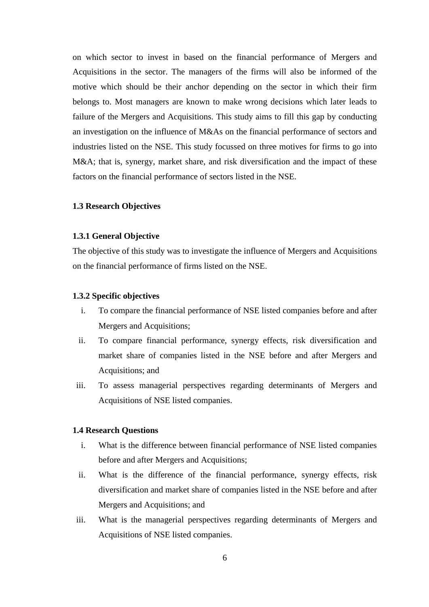on which sector to invest in based on the financial performance of Mergers and Acquisitions in the sector. The managers of the firms will also be informed of the motive which should be their anchor depending on the sector in which their firm belongs to. Most managers are known to make wrong decisions which later leads to failure of the Mergers and Acquisitions. This study aims to fill this gap by conducting an investigation on the influence of M&As on the financial performance of sectors and industries listed on the NSE. This study focussed on three motives for firms to go into M&A; that is, synergy, market share, and risk diversification and the impact of these factors on the financial performance of sectors listed in the NSE.

# **1.3 Research Objectives**

# <span id="page-16-0"></span>**1.3.1 General Objective**

The objective of this study was to investigate the influence of Mergers and Acquisitions on the financial performance of firms listed on the NSE.

## <span id="page-16-1"></span>**1.3.2 Specific objectives**

- i. To compare the financial performance of NSE listed companies before and after Mergers and Acquisitions;
- ii. To compare financial performance, synergy effects, risk diversification and market share of companies listed in the NSE before and after Mergers and Acquisitions; and
- iii. To assess managerial perspectives regarding determinants of Mergers and Acquisitions of NSE listed companies.

# <span id="page-16-2"></span>**1.4 Research Questions**

- i. What is the difference between financial performance of NSE listed companies before and after Mergers and Acquisitions;
- ii. What is the difference of the financial performance, synergy effects, risk diversification and market share of companies listed in the NSE before and after Mergers and Acquisitions; and
- iii. What is the managerial perspectives regarding determinants of Mergers and Acquisitions of NSE listed companies.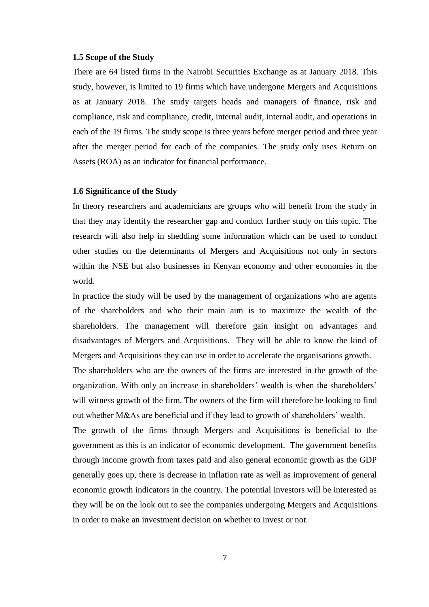#### <span id="page-17-0"></span>**1.5 Scope of the Study**

There are 64 listed firms in the Nairobi Securities Exchange as at January 2018. This study, however, is limited to 19 firms which have undergone Mergers and Acquisitions as at January 2018. The study targets heads and managers of finance, risk and compliance, risk and compliance, credit, internal audit, internal audit, and operations in each of the 19 firms. The study scope is three years before merger period and three year after the merger period for each of the companies. The study only uses Return on Assets (ROA) as an indicator for financial performance.

# <span id="page-17-1"></span>**1.6 Significance of the Study**

In theory researchers and academicians are groups who will benefit from the study in that they may identify the researcher gap and conduct further study on this topic. The research will also help in shedding some information which can be used to conduct other studies on the determinants of Mergers and Acquisitions not only in sectors within the NSE but also businesses in Kenyan economy and other economies in the world.

In practice the study will be used by the management of organizations who are agents of the shareholders and who their main aim is to maximize the wealth of the shareholders. The management will therefore gain insight on advantages and disadvantages of Mergers and Acquisitions. They will be able to know the kind of Mergers and Acquisitions they can use in order to accelerate the organisations growth.

The shareholders who are the owners of the firms are interested in the growth of the organization. With only an increase in shareholders' wealth is when the shareholders' will witness growth of the firm. The owners of the firm will therefore be looking to find out whether M&As are beneficial and if they lead to growth of shareholders' wealth.

The growth of the firms through Mergers and Acquisitions is beneficial to the government as this is an indicator of economic development. The government benefits through income growth from taxes paid and also general economic growth as the GDP generally goes up, there is decrease in inflation rate as well as improvement of general economic growth indicators in the country. The potential investors will be interested as they will be on the look out to see the companies undergoing Mergers and Acquisitions in order to make an investment decision on whether to invest or not.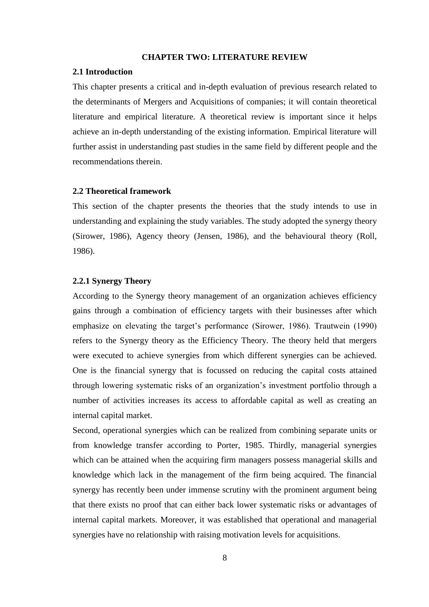#### **CHAPTER TWO: LITERATURE REVIEW**

#### <span id="page-18-1"></span><span id="page-18-0"></span>**2.1 Introduction**

This chapter presents a critical and in-depth evaluation of previous research related to the determinants of Mergers and Acquisitions of companies; it will contain theoretical literature and empirical literature. A theoretical review is important since it helps achieve an in-depth understanding of the existing information. Empirical literature will further assist in understanding past studies in the same field by different people and the recommendations therein.

# <span id="page-18-2"></span>**2.2 Theoretical framework**

This section of the chapter presents the theories that the study intends to use in understanding and explaining the study variables. The study adopted the synergy theory (Sirower, 1986), Agency theory (Jensen, 1986), and the behavioural theory (Roll, 1986).

# <span id="page-18-3"></span>**2.2.1 Synergy Theory**

According to the Synergy theory management of an organization achieves efficiency gains through a combination of efficiency targets with their businesses after which emphasize on elevating the target's performance (Sirower, 1986). Trautwein (1990) refers to the Synergy theory as the Efficiency Theory. The theory held that mergers were executed to achieve synergies from which different synergies can be achieved. One is the financial synergy that is focussed on reducing the capital costs attained through lowering systematic risks of an organization's investment portfolio through a number of activities increases its access to affordable capital as well as creating an internal capital market.

Second, operational synergies which can be realized from combining separate units or from knowledge transfer according to Porter, 1985. Thirdly, managerial synergies which can be attained when the acquiring firm managers possess managerial skills and knowledge which lack in the management of the firm being acquired. The financial synergy has recently been under immense scrutiny with the prominent argument being that there exists no proof that can either back lower systematic risks or advantages of internal capital markets. Moreover, it was established that operational and managerial synergies have no relationship with raising motivation levels for acquisitions.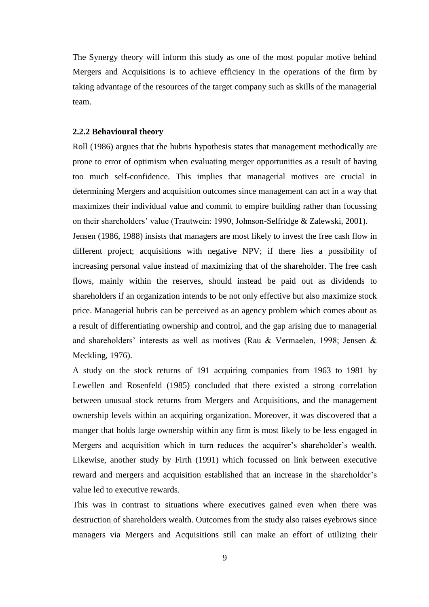The Synergy theory will inform this study as one of the most popular motive behind Mergers and Acquisitions is to achieve efficiency in the operations of the firm by taking advantage of the resources of the target company such as skills of the managerial team.

## <span id="page-19-0"></span>**2.2.2 Behavioural theory**

Roll (1986) argues that the hubris hypothesis states that management methodically are prone to error of optimism when evaluating merger opportunities as a result of having too much self-confidence. This implies that managerial motives are crucial in determining Mergers and acquisition outcomes since management can act in a way that maximizes their individual value and commit to empire building rather than focussing on their shareholders' value (Trautwein: 1990, Johnson-Selfridge & Zalewski, 2001).

Jensen (1986, 1988) insists that managers are most likely to invest the free cash flow in different project; acquisitions with negative NPV; if there lies a possibility of increasing personal value instead of maximizing that of the shareholder. The free cash flows, mainly within the reserves, should instead be paid out as dividends to shareholders if an organization intends to be not only effective but also maximize stock price. Managerial hubris can be perceived as an agency problem which comes about as a result of differentiating ownership and control, and the gap arising due to managerial and shareholders' interests as well as motives (Rau & Vermaelen, 1998; Jensen & Meckling, 1976).

A study on the stock returns of 191 acquiring companies from 1963 to 1981 by Lewellen and Rosenfeld (1985) concluded that there existed a strong correlation between unusual stock returns from Mergers and Acquisitions, and the management ownership levels within an acquiring organization. Moreover, it was discovered that a manger that holds large ownership within any firm is most likely to be less engaged in Mergers and acquisition which in turn reduces the acquirer's shareholder's wealth. Likewise, another study by Firth (1991) which focussed on link between executive reward and mergers and acquisition established that an increase in the shareholder's value led to executive rewards.

This was in contrast to situations where executives gained even when there was destruction of shareholders wealth. Outcomes from the study also raises eyebrows since managers via Mergers and Acquisitions still can make an effort of utilizing their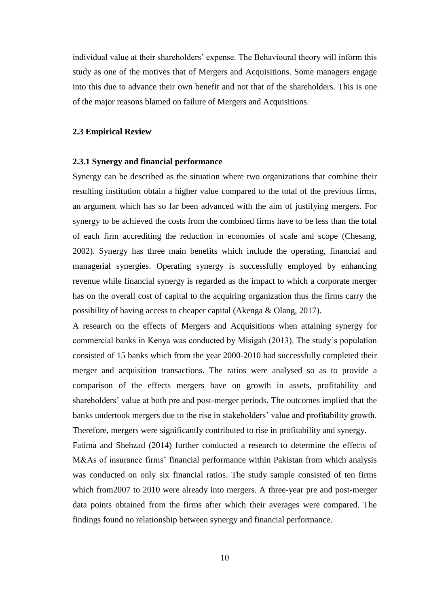individual value at their shareholders' expense. The Behavioural theory will inform this study as one of the motives that of Mergers and Acquisitions. Some managers engage into this due to advance their own benefit and not that of the shareholders. This is one of the major reasons blamed on failure of Mergers and Acquisitions.

# <span id="page-20-0"></span>**2.3 Empirical Review**

## <span id="page-20-1"></span>**2.3.1 Synergy and financial performance**

Synergy can be described as the situation where two organizations that combine their resulting institution obtain a higher value compared to the total of the previous firms, an argument which has so far been advanced with the aim of justifying mergers. For synergy to be achieved the costs from the combined firms have to be less than the total of each firm accrediting the reduction in economies of scale and scope (Chesang, 2002). Synergy has three main benefits which include the operating, financial and managerial synergies. Operating synergy is successfully employed by enhancing revenue while financial synergy is regarded as the impact to which a corporate merger has on the overall cost of capital to the acquiring organization thus the firms carry the possibility of having access to cheaper capital (Akenga & Olang, 2017).

A research on the effects of Mergers and Acquisitions when attaining synergy for commercial banks in Kenya was conducted by Misigah (2013). The study's population consisted of 15 banks which from the year 2000-2010 had successfully completed their merger and acquisition transactions. The ratios were analysed so as to provide a comparison of the effects mergers have on growth in assets, profitability and shareholders' value at both pre and post-merger periods. The outcomes implied that the banks undertook mergers due to the rise in stakeholders' value and profitability growth. Therefore, mergers were significantly contributed to rise in profitability and synergy.

Fatima and Shehzad (2014) further conducted a research to determine the effects of M&As of insurance firms' financial performance within Pakistan from which analysis was conducted on only six financial ratios. The study sample consisted of ten firms which from 2007 to 2010 were already into mergers. A three-year pre and post-merger data points obtained from the firms after which their averages were compared. The findings found no relationship between synergy and financial performance.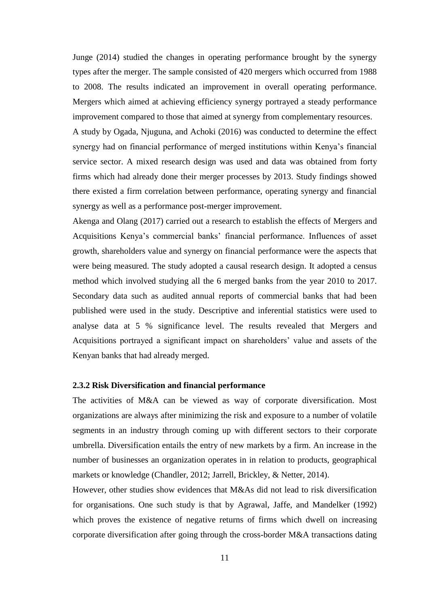Junge (2014) studied the changes in operating performance brought by the synergy types after the merger. The sample consisted of 420 mergers which occurred from 1988 to 2008. The results indicated an improvement in overall operating performance. Mergers which aimed at achieving efficiency synergy portrayed a steady performance improvement compared to those that aimed at synergy from complementary resources.

A study by Ogada, Njuguna, and Achoki (2016) was conducted to determine the effect synergy had on financial performance of merged institutions within Kenya's financial service sector. A mixed research design was used and data was obtained from forty firms which had already done their merger processes by 2013. Study findings showed there existed a firm correlation between performance, operating synergy and financial synergy as well as a performance post-merger improvement.

Akenga and Olang (2017) carried out a research to establish the effects of Mergers and Acquisitions Kenya's commercial banks' financial performance. Influences of asset growth, shareholders value and synergy on financial performance were the aspects that were being measured. The study adopted a causal research design. It adopted a census method which involved studying all the 6 merged banks from the year 2010 to 2017. Secondary data such as audited annual reports of commercial banks that had been published were used in the study. Descriptive and inferential statistics were used to analyse data at 5 % significance level. The results revealed that Mergers and Acquisitions portrayed a significant impact on shareholders' value and assets of the Kenyan banks that had already merged.

# <span id="page-21-0"></span>**2.3.2 Risk Diversification and financial performance**

The activities of M&A can be viewed as way of corporate diversification. Most organizations are always after minimizing the risk and exposure to a number of volatile segments in an industry through coming up with different sectors to their corporate umbrella. Diversification entails the entry of new markets by a firm. An increase in the number of businesses an organization operates in in relation to products, geographical markets or knowledge (Chandler, 2012; Jarrell, Brickley, & Netter, 2014).

However, other studies show evidences that M&As did not lead to risk diversification for organisations. One such study is that by Agrawal, Jaffe, and Mandelker (1992) which proves the existence of negative returns of firms which dwell on increasing corporate diversification after going through the cross-border M&A transactions dating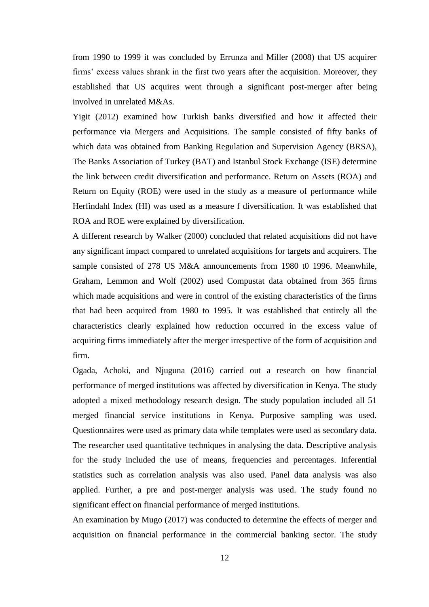from 1990 to 1999 it was concluded by Errunza and Miller (2008) that US acquirer firms' excess values shrank in the first two years after the acquisition. Moreover, they established that US acquires went through a significant post-merger after being involved in unrelated M&As.

Yigit (2012) examined how Turkish banks diversified and how it affected their performance via Mergers and Acquisitions. The sample consisted of fifty banks of which data was obtained from Banking Regulation and Supervision Agency (BRSA), The Banks Association of Turkey (BAT) and Istanbul Stock Exchange (ISE) determine the link between credit diversification and performance. Return on Assets (ROA) and Return on Equity (ROE) were used in the study as a measure of performance while Herfindahl Index (HI) was used as a measure f diversification. It was established that ROA and ROE were explained by diversification.

A different research by Walker (2000) concluded that related acquisitions did not have any significant impact compared to unrelated acquisitions for targets and acquirers. The sample consisted of 278 US M&A announcements from 1980 t0 1996. Meanwhile, Graham, Lemmon and Wolf (2002) used Compustat data obtained from 365 firms which made acquisitions and were in control of the existing characteristics of the firms that had been acquired from 1980 to 1995. It was established that entirely all the characteristics clearly explained how reduction occurred in the excess value of acquiring firms immediately after the merger irrespective of the form of acquisition and firm.

Ogada, Achoki, and Njuguna (2016) carried out a research on how financial performance of merged institutions was affected by diversification in Kenya. The study adopted a mixed methodology research design. The study population included all 51 merged financial service institutions in Kenya. Purposive sampling was used. Questionnaires were used as primary data while templates were used as secondary data. The researcher used quantitative techniques in analysing the data. Descriptive analysis for the study included the use of means, frequencies and percentages. Inferential statistics such as correlation analysis was also used. Panel data analysis was also applied. Further, a pre and post-merger analysis was used. The study found no significant effect on financial performance of merged institutions.

An examination by Mugo (2017) was conducted to determine the effects of merger and acquisition on financial performance in the commercial banking sector. The study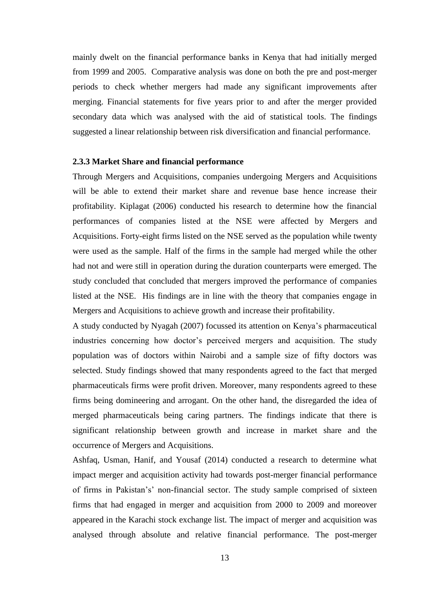mainly dwelt on the financial performance banks in Kenya that had initially merged from 1999 and 2005. Comparative analysis was done on both the pre and post-merger periods to check whether mergers had made any significant improvements after merging. Financial statements for five years prior to and after the merger provided secondary data which was analysed with the aid of statistical tools. The findings suggested a linear relationship between risk diversification and financial performance.

#### <span id="page-23-0"></span>**2.3.3 Market Share and financial performance**

Through Mergers and Acquisitions, companies undergoing Mergers and Acquisitions will be able to extend their market share and revenue base hence increase their profitability. Kiplagat (2006) conducted his research to determine how the financial performances of companies listed at the NSE were affected by Mergers and Acquisitions. Forty-eight firms listed on the NSE served as the population while twenty were used as the sample. Half of the firms in the sample had merged while the other had not and were still in operation during the duration counterparts were emerged. The study concluded that concluded that mergers improved the performance of companies listed at the NSE. His findings are in line with the theory that companies engage in Mergers and Acquisitions to achieve growth and increase their profitability.

A study conducted by Nyagah (2007) focussed its attention on Kenya's pharmaceutical industries concerning how doctor's perceived mergers and acquisition. The study population was of doctors within Nairobi and a sample size of fifty doctors was selected. Study findings showed that many respondents agreed to the fact that merged pharmaceuticals firms were profit driven. Moreover, many respondents agreed to these firms being domineering and arrogant. On the other hand, the disregarded the idea of merged pharmaceuticals being caring partners. The findings indicate that there is significant relationship between growth and increase in market share and the occurrence of Mergers and Acquisitions.

Ashfaq, Usman, Hanif, and Yousaf (2014) conducted a research to determine what impact merger and acquisition activity had towards post-merger financial performance of firms in Pakistan's' non-financial sector. The study sample comprised of sixteen firms that had engaged in merger and acquisition from 2000 to 2009 and moreover appeared in the Karachi stock exchange list. The impact of merger and acquisition was analysed through absolute and relative financial performance. The post-merger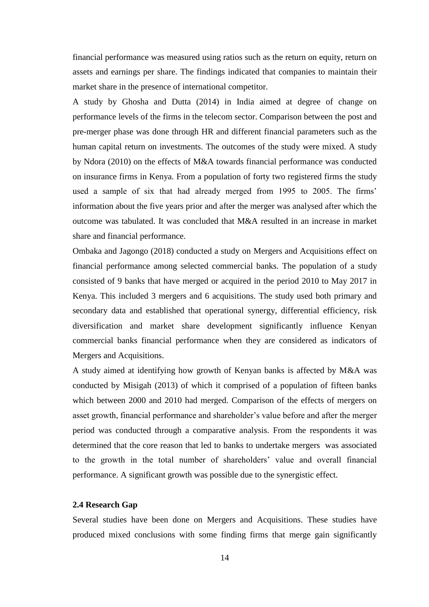financial performance was measured using ratios such as the return on equity, return on assets and earnings per share. The findings indicated that companies to maintain their market share in the presence of international competitor.

A study by Ghosha and Dutta (2014) in India aimed at degree of change on performance levels of the firms in the telecom sector. Comparison between the post and pre-merger phase was done through HR and different financial parameters such as the human capital return on investments. The outcomes of the study were mixed. A study by Ndora (2010) on the effects of M&A towards financial performance was conducted on insurance firms in Kenya. From a population of forty two registered firms the study used a sample of six that had already merged from 1995 to 2005. The firms' information about the five years prior and after the merger was analysed after which the outcome was tabulated. It was concluded that M&A resulted in an increase in market share and financial performance.

Ombaka and Jagongo (2018) conducted a study on Mergers and Acquisitions effect on financial performance among selected commercial banks. The population of a study consisted of 9 banks that have merged or acquired in the period 2010 to May 2017 in Kenya. This included 3 mergers and 6 acquisitions. The study used both primary and secondary data and established that operational synergy, differential efficiency, risk diversification and market share development significantly influence Kenyan commercial banks financial performance when they are considered as indicators of Mergers and Acquisitions.

A study aimed at identifying how growth of Kenyan banks is affected by M&A was conducted by Misigah (2013) of which it comprised of a population of fifteen banks which between 2000 and 2010 had merged. Comparison of the effects of mergers on asset growth, financial performance and shareholder's value before and after the merger period was conducted through a comparative analysis. From the respondents it was determined that the core reason that led to banks to undertake mergers was associated to the growth in the total number of shareholders' value and overall financial performance. A significant growth was possible due to the synergistic effect.

# <span id="page-24-0"></span>**2.4 Research Gap**

Several studies have been done on Mergers and Acquisitions. These studies have produced mixed conclusions with some finding firms that merge gain significantly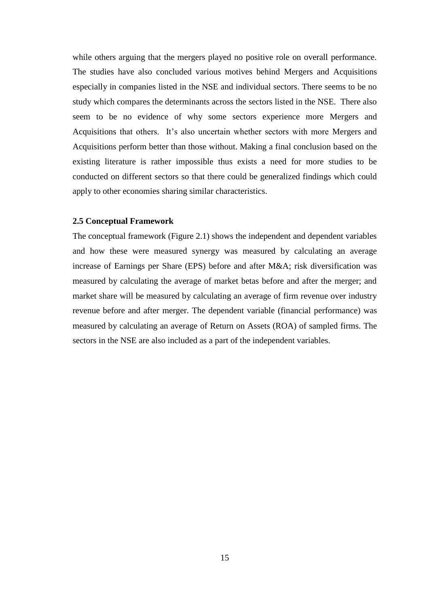while others arguing that the mergers played no positive role on overall performance. The studies have also concluded various motives behind Mergers and Acquisitions especially in companies listed in the NSE and individual sectors. There seems to be no study which compares the determinants across the sectors listed in the NSE. There also seem to be no evidence of why some sectors experience more Mergers and Acquisitions that others. It's also uncertain whether sectors with more Mergers and Acquisitions perform better than those without. Making a final conclusion based on the existing literature is rather impossible thus exists a need for more studies to be conducted on different sectors so that there could be generalized findings which could apply to other economies sharing similar characteristics.

## <span id="page-25-0"></span>**2.5 Conceptual Framework**

The conceptual framework (Figure 2.1) shows the independent and dependent variables and how these were measured synergy was measured by calculating an average increase of Earnings per Share (EPS) before and after M&A; risk diversification was measured by calculating the average of market betas before and after the merger; and market share will be measured by calculating an average of firm revenue over industry revenue before and after merger. The dependent variable (financial performance) was measured by calculating an average of Return on Assets (ROA) of sampled firms. The sectors in the NSE are also included as a part of the independent variables.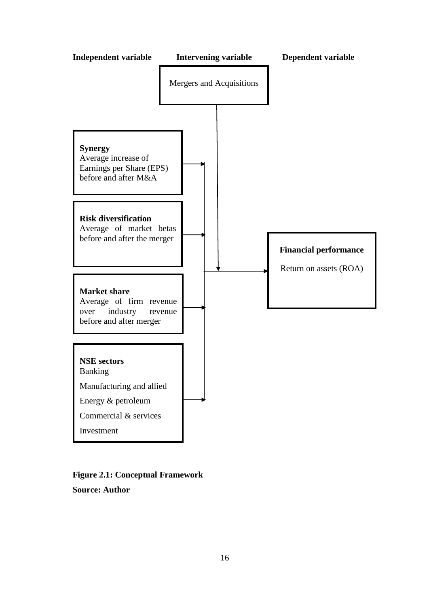

# **Figure 2.1: Conceptual Framework Source: Author**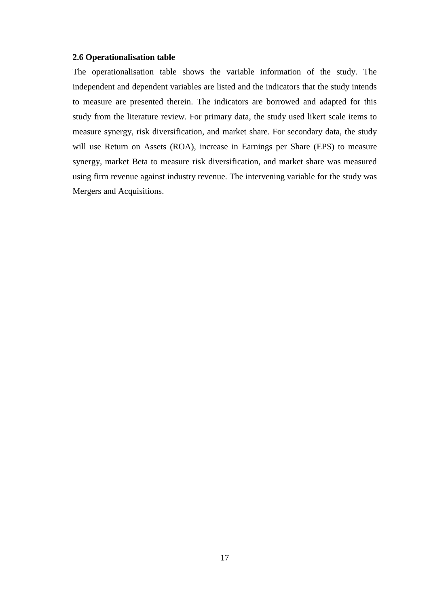#### **2.6 Operationalisation table**

The operationalisation table shows the variable information of the study. The independent and dependent variables are listed and the indicators that the study intends to measure are presented therein. The indicators are borrowed and adapted for this study from the literature review. For primary data, the study used likert scale items to measure synergy, risk diversification, and market share. For secondary data, the study will use Return on Assets (ROA), increase in Earnings per Share (EPS) to measure synergy, market Beta to measure risk diversification, and market share was measured using firm revenue against industry revenue. The intervening variable for the study was Mergers and Acquisitions.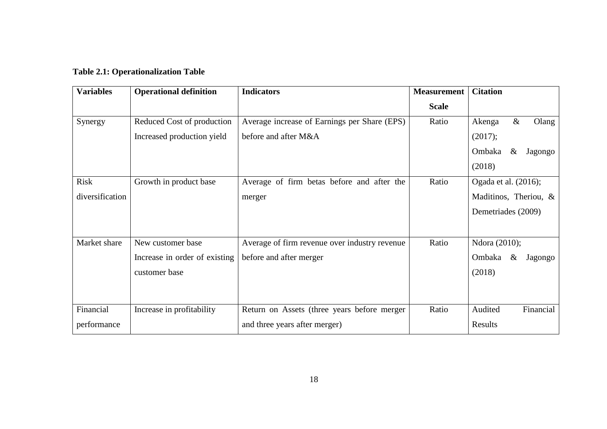<span id="page-28-0"></span>

| <b>Variables</b> | <b>Operational definition</b> | <b>Indicators</b>                             | <b>Measurement</b> | <b>Citation</b>           |
|------------------|-------------------------------|-----------------------------------------------|--------------------|---------------------------|
|                  |                               |                                               | <b>Scale</b>       |                           |
| Synergy          | Reduced Cost of production    | Average increase of Earnings per Share (EPS)  | Ratio              | $\&$<br>Olang<br>Akenga   |
|                  | Increased production yield    | before and after M&A                          |                    | (2017);                   |
|                  |                               |                                               |                    | Ombaka<br>$\&$<br>Jagongo |
|                  |                               |                                               |                    | (2018)                    |
| <b>Risk</b>      | Growth in product base        | Average of firm betas before and after the    | Ratio              | Ogada et al. (2016);      |
| diversification  |                               | merger                                        |                    | Maditinos, Theriou, &     |
|                  |                               |                                               |                    | Demetriades (2009)        |
|                  |                               |                                               |                    |                           |
| Market share     | New customer base             | Average of firm revenue over industry revenue | Ratio              | Ndora (2010);             |
|                  | Increase in order of existing | before and after merger                       |                    | Ombaka<br>$\&$<br>Jagongo |
|                  | customer base                 |                                               |                    | (2018)                    |
|                  |                               |                                               |                    |                           |
|                  |                               |                                               |                    |                           |
| Financial        | Increase in profitability     | Return on Assets (three years before merger   | Ratio              | Audited<br>Financial      |
| performance      |                               | and three years after merger)                 |                    | Results                   |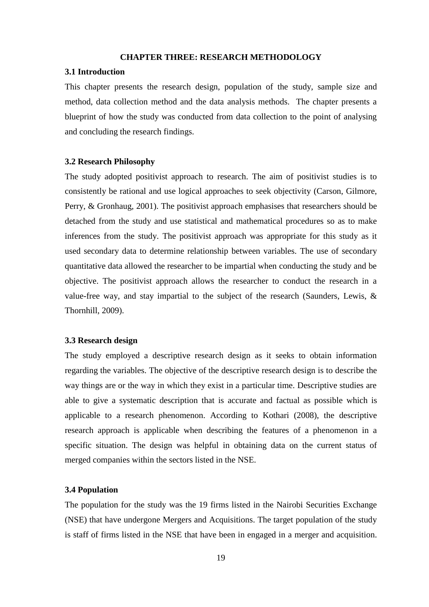## **CHAPTER THREE: RESEARCH METHODOLOGY**

#### <span id="page-29-1"></span><span id="page-29-0"></span>**3.1 Introduction**

This chapter presents the research design, population of the study, sample size and method, data collection method and the data analysis methods. The chapter presents a blueprint of how the study was conducted from data collection to the point of analysing and concluding the research findings.

#### <span id="page-29-2"></span>**3.2 Research Philosophy**

The study adopted positivist approach to research. The aim of positivist studies is to consistently be rational and use logical approaches to seek objectivity (Carson, Gilmore, Perry, & Gronhaug, 2001). The positivist approach emphasises that researchers should be detached from the study and use statistical and mathematical procedures so as to make inferences from the study. The positivist approach was appropriate for this study as it used secondary data to determine relationship between variables. The use of secondary quantitative data allowed the researcher to be impartial when conducting the study and be objective. The positivist approach allows the researcher to conduct the research in a value-free way, and stay impartial to the subject of the research (Saunders, Lewis, & Thornhill, 2009).

# <span id="page-29-3"></span>**3.3 Research design**

The study employed a descriptive research design as it seeks to obtain information regarding the variables. The objective of the descriptive research design is to describe the way things are or the way in which they exist in a particular time. Descriptive studies are able to give a systematic description that is accurate and factual as possible which is applicable to a research phenomenon. According to Kothari (2008), the descriptive research approach is applicable when describing the features of a phenomenon in a specific situation. The design was helpful in obtaining data on the current status of merged companies within the sectors listed in the NSE.

# <span id="page-29-4"></span>**3.4 Population**

The population for the study was the 19 firms listed in the Nairobi Securities Exchange (NSE) that have undergone Mergers and Acquisitions. The target population of the study is staff of firms listed in the NSE that have been in engaged in a merger and acquisition.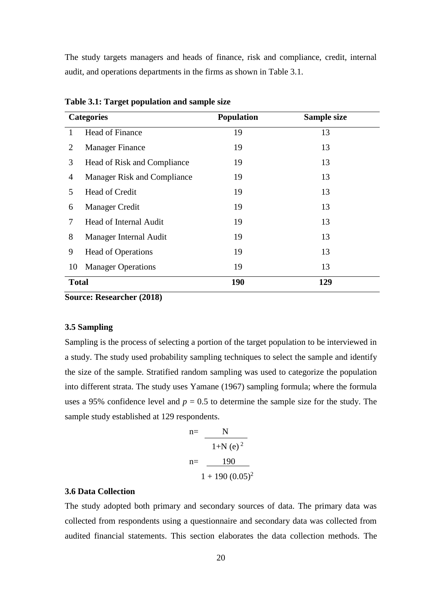The study targets managers and heads of finance, risk and compliance, credit, internal audit, and operations departments in the firms as shown in Table 3.1.

|              | <b>Categories</b>           | Population | Sample size |
|--------------|-----------------------------|------------|-------------|
| 1            | Head of Finance             | 19         | 13          |
| 2            | <b>Manager Finance</b>      | 19         | 13          |
| 3            | Head of Risk and Compliance | 19         | 13          |
| 4            | Manager Risk and Compliance | 19         | 13          |
| 5            | Head of Credit              | 19         | 13          |
| 6            | <b>Manager Credit</b>       | 19         | 13          |
| 7            | Head of Internal Audit      | 19         | 13          |
| 8            | Manager Internal Audit      | 19         | 13          |
| 9            | <b>Head of Operations</b>   | 19         | 13          |
| 10           | <b>Manager Operations</b>   | 19         | 13          |
| <b>Total</b> |                             | <b>190</b> | 129         |

<span id="page-30-2"></span>**Table 3.1: Target population and sample size** 

**Source: Researcher (2018)**

# <span id="page-30-0"></span>**3.5 Sampling**

Sampling is the process of selecting a portion of the target population to be interviewed in a study. The study used probability sampling techniques to select the sample and identify the size of the sample. Stratified random sampling was used to categorize the population into different strata. The study uses Yamane (1967) sampling formula; where the formula uses a 95% confidence level and  $p = 0.5$  to determine the sample size for the study. The sample study established at 129 respondents.

$$
n = \frac{N}{1 + N (e)^2}
$$
  
n = 
$$
\frac{190}{1 + 190 (0.05)^2}
$$

#### <span id="page-30-1"></span>**3.6 Data Collection**

The study adopted both primary and secondary sources of data. The primary data was collected from respondents using a questionnaire and secondary data was collected from audited financial statements. This section elaborates the data collection methods. The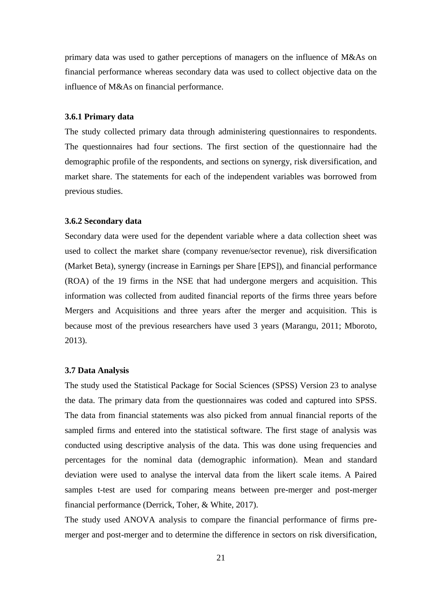primary data was used to gather perceptions of managers on the influence of M&As on financial performance whereas secondary data was used to collect objective data on the influence of M&As on financial performance.

# <span id="page-31-0"></span>**3.6.1 Primary data**

The study collected primary data through administering questionnaires to respondents. The questionnaires had four sections. The first section of the questionnaire had the demographic profile of the respondents, and sections on synergy, risk diversification, and market share. The statements for each of the independent variables was borrowed from previous studies.

## <span id="page-31-1"></span>**3.6.2 Secondary data**

Secondary data were used for the dependent variable where a data collection sheet was used to collect the market share (company revenue/sector revenue), risk diversification (Market Beta), synergy (increase in Earnings per Share [EPS]), and financial performance (ROA) of the 19 firms in the NSE that had undergone mergers and acquisition. This information was collected from audited financial reports of the firms three years before Mergers and Acquisitions and three years after the merger and acquisition. This is because most of the previous researchers have used 3 years (Marangu, 2011; Mboroto, 2013).

# <span id="page-31-2"></span>**3.7 Data Analysis**

The study used the Statistical Package for Social Sciences (SPSS) Version 23 to analyse the data. The primary data from the questionnaires was coded and captured into SPSS. The data from financial statements was also picked from annual financial reports of the sampled firms and entered into the statistical software. The first stage of analysis was conducted using descriptive analysis of the data. This was done using frequencies and percentages for the nominal data (demographic information). Mean and standard deviation were used to analyse the interval data from the likert scale items. A Paired samples t-test are used for comparing means between pre-merger and post-merger financial performance (Derrick, Toher, & White, 2017).

The study used ANOVA analysis to compare the financial performance of firms premerger and post-merger and to determine the difference in sectors on risk diversification,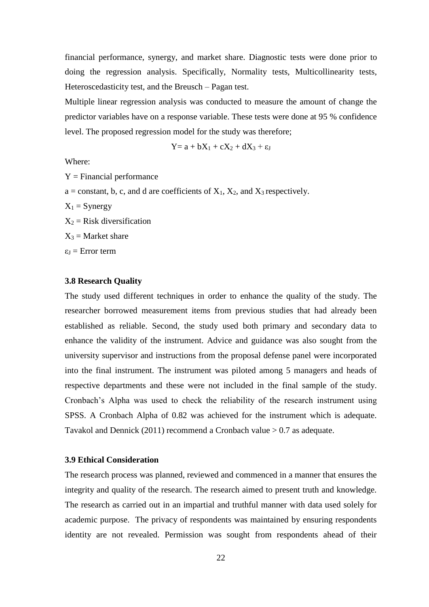financial performance, synergy, and market share. Diagnostic tests were done prior to doing the regression analysis. Specifically, Normality tests, Multicollinearity tests, Heteroscedasticity test, and the Breusch – Pagan test.

Multiple linear regression analysis was conducted to measure the amount of change the predictor variables have on a response variable. These tests were done at 95 % confidence level. The proposed regression model for the study was therefore;

$$
Y = a + bX_1 + cX_2 + dX_3 + \epsilon_J
$$

Where:

 $Y = Financial$  performance

 $a = constant, b, c, and d are coefficients of X<sub>1</sub>, X<sub>2</sub>, and X<sub>3</sub> respectively.$ 

 $X_1$  = Synergy

 $X_2$  = Risk diversification

 $X_3$  = Market share

 $\varepsilon_I$  = Error term

## <span id="page-32-0"></span>**3.8 Research Quality**

The study used different techniques in order to enhance the quality of the study. The researcher borrowed measurement items from previous studies that had already been established as reliable. Second, the study used both primary and secondary data to enhance the validity of the instrument. Advice and guidance was also sought from the university supervisor and instructions from the proposal defense panel were incorporated into the final instrument. The instrument was piloted among 5 managers and heads of respective departments and these were not included in the final sample of the study. Cronbach's Alpha was used to check the reliability of the research instrument using SPSS. A Cronbach Alpha of 0.82 was achieved for the instrument which is adequate. Tavakol and Dennick (2011) recommend a Cronbach value > 0.7 as adequate.

#### <span id="page-32-1"></span>**3.9 Ethical Consideration**

The research process was planned, reviewed and commenced in a manner that ensures the integrity and quality of the research. The research aimed to present truth and knowledge. The research as carried out in an impartial and truthful manner with data used solely for academic purpose. The privacy of respondents was maintained by ensuring respondents identity are not revealed. Permission was sought from respondents ahead of their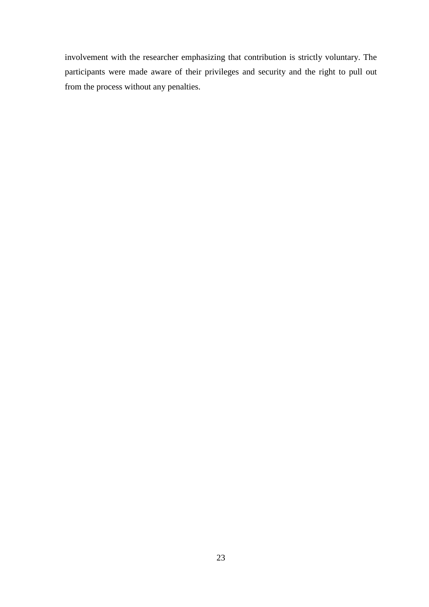involvement with the researcher emphasizing that contribution is strictly voluntary. The participants were made aware of their privileges and security and the right to pull out from the process without any penalties.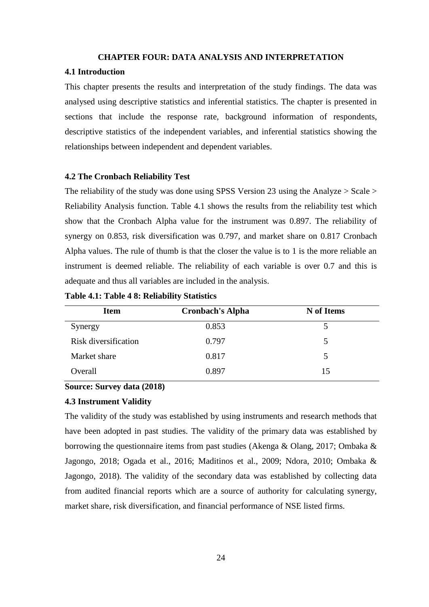#### **CHAPTER FOUR: DATA ANALYSIS AND INTERPRETATION**

#### <span id="page-34-1"></span><span id="page-34-0"></span>**4.1 Introduction**

This chapter presents the results and interpretation of the study findings. The data was analysed using descriptive statistics and inferential statistics. The chapter is presented in sections that include the response rate, background information of respondents, descriptive statistics of the independent variables, and inferential statistics showing the relationships between independent and dependent variables.

# <span id="page-34-2"></span>**4.2 The Cronbach Reliability Test**

The reliability of the study was done using SPSS Version 23 using the Analyze > Scale > Reliability Analysis function. Table 4.1 shows the results from the reliability test which show that the Cronbach Alpha value for the instrument was 0.897. The reliability of synergy on 0.853, risk diversification was 0.797, and market share on 0.817 Cronbach Alpha values. The rule of thumb is that the closer the value is to 1 is the more reliable an instrument is deemed reliable. The reliability of each variable is over 0.7 and this is adequate and thus all variables are included in the analysis.

| <b>Item</b>          | <b>Cronbach's Alpha</b> | N of Items |
|----------------------|-------------------------|------------|
| Synergy              | 0.853                   | ৲          |
| Risk diversification | 0.797                   | 5          |
| Market share         | 0.817                   | 5          |
| Overall              | 0.897                   | 15         |

<span id="page-34-5"></span>**Table 4.1: Table 4 8: Reliability Statistics** 

# **Source: Survey data (2018)**

# <span id="page-34-3"></span>**4.3 Instrument Validity**

<span id="page-34-4"></span>The validity of the study was established by using instruments and research methods that have been adopted in past studies. The validity of the primary data was established by borrowing the questionnaire items from past studies (Akenga & Olang, 2017; Ombaka & Jagongo, 2018; Ogada et al., 2016; Maditinos et al., 2009; Ndora, 2010; Ombaka & Jagongo, 2018). The validity of the secondary data was established by collecting data from audited financial reports which are a source of authority for calculating synergy, market share, risk diversification, and financial performance of NSE listed firms.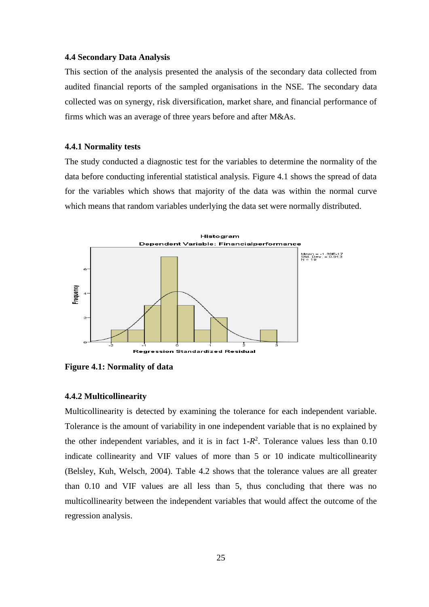## **4.4 Secondary Data Analysis**

This section of the analysis presented the analysis of the secondary data collected from audited financial reports of the sampled organisations in the NSE. The secondary data collected was on synergy, risk diversification, market share, and financial performance of firms which was an average of three years before and after M&As.

#### <span id="page-35-0"></span>**4.4.1 Normality tests**

The study conducted a diagnostic test for the variables to determine the normality of the data before conducting inferential statistical analysis. Figure 4.1 shows the spread of data for the variables which shows that majority of the data was within the normal curve which means that random variables underlying the data set were normally distributed.



<span id="page-35-1"></span>**Figure 4.1: Normality of data**

#### **4.4.2 Multicollinearity**

Multicollinearity is detected by examining the tolerance for each independent variable. Tolerance is the amount of variability in one independent variable that is no explained by the other independent variables, and it is in fact  $1-R^2$ . Tolerance values less than  $0.10$ indicate collinearity and VIF values of more than 5 or 10 indicate multicollinearity (Belsley, Kuh, Welsch, 2004). Table 4.2 shows that the tolerance values are all greater than 0.10 and VIF values are all less than 5, thus concluding that there was no multicollinearity between the independent variables that would affect the outcome of the regression analysis.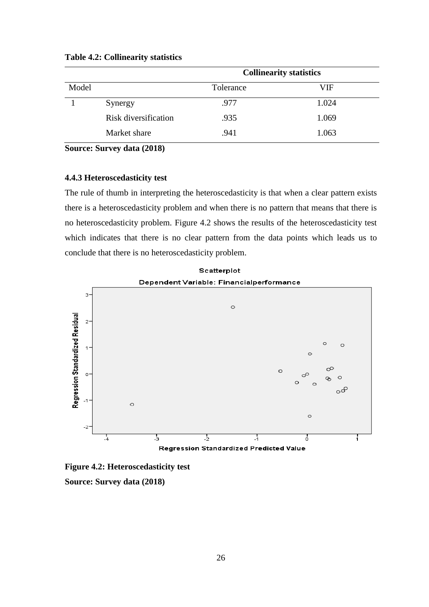|       |                      | <b>Collinearity statistics</b> |       |  |
|-------|----------------------|--------------------------------|-------|--|
| Model |                      | Tolerance                      | VIF   |  |
|       | Synergy              | .977                           | 1.024 |  |
|       | Risk diversification | .935                           | 1.069 |  |
|       | Market share         | .941                           | 1.063 |  |

### <span id="page-36-1"></span>**Table 4.2: Collinearity statistics**

<span id="page-36-0"></span>**Source: Survey data (2018)** 

# **4.4.3 Heteroscedasticity test**

The rule of thumb in interpreting the heteroscedasticity is that when a clear pattern exists there is a heteroscedasticity problem and when there is no pattern that means that there is no heteroscedasticity problem. Figure 4.2 shows the results of the heteroscedasticity test which indicates that there is no clear pattern from the data points which leads us to conclude that there is no heteroscedasticity problem.

Scatterplot





**Figure 4.2: Heteroscedasticity test Source: Survey data (2018)**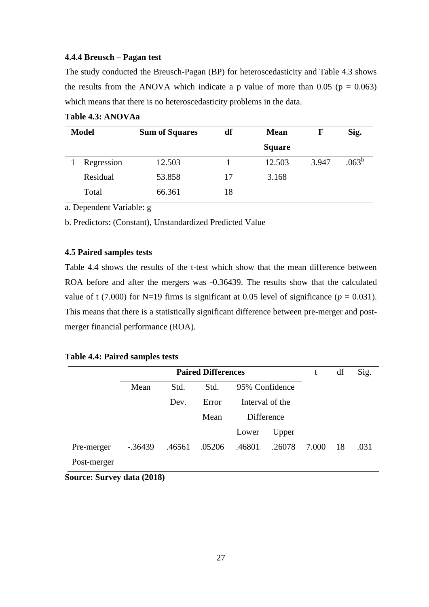# <span id="page-37-0"></span>**4.4.4 Breusch – Pagan test**

The study conducted the Breusch-Pagan (BP) for heteroscedasticity and Table 4.3 shows the results from the ANOVA which indicate a p value of more than  $0.05$  ( $p = 0.063$ ) which means that there is no heteroscedasticity problems in the data.

| <b>Model</b> | <b>Sum of Squares</b> | df | <b>Mean</b>   | F     | Sig.              |
|--------------|-----------------------|----|---------------|-------|-------------------|
|              |                       |    | <b>Square</b> |       |                   |
| Regression   | 12.503                |    | 12.503        | 3.947 | .063 <sup>b</sup> |
| Residual     | 53.858                | 17 | 3.168         |       |                   |
| Total        | 66.361                | 18 |               |       |                   |

# <span id="page-37-3"></span>**Table 4.3: ANOVAa**

a. Dependent Variable: g

b. Predictors: (Constant), Unstandardized Predicted Value

# <span id="page-37-1"></span>**4.5 Paired samples tests**

Table 4.4 shows the results of the t-test which show that the mean difference between ROA before and after the mergers was -0.36439. The results show that the calculated value of t (7.000) for N=19 firms is significant at 0.05 level of significance ( $p = 0.031$ ). This means that there is a statistically significant difference between pre-merger and postmerger financial performance (ROA).

# <span id="page-37-4"></span>**Table 4.4: Paired samples tests**

| <b>Paired Differences</b> |            |        |        | t      | df              | Sig.  |    |      |
|---------------------------|------------|--------|--------|--------|-----------------|-------|----|------|
|                           | Mean       | Std.   | Std.   |        | 95% Confidence  |       |    |      |
|                           |            | Dev.   | Error  |        | Interval of the |       |    |      |
|                           |            |        | Mean   |        | Difference      |       |    |      |
|                           |            |        |        | Lower  | Upper           |       |    |      |
| Pre-merger                | $-0.36439$ | .46561 | .05206 | .46801 | .26078          | 7.000 | 18 | .031 |
| Post-merger               |            |        |        |        |                 |       |    |      |

<span id="page-37-2"></span>**Source: Survey data (2018)**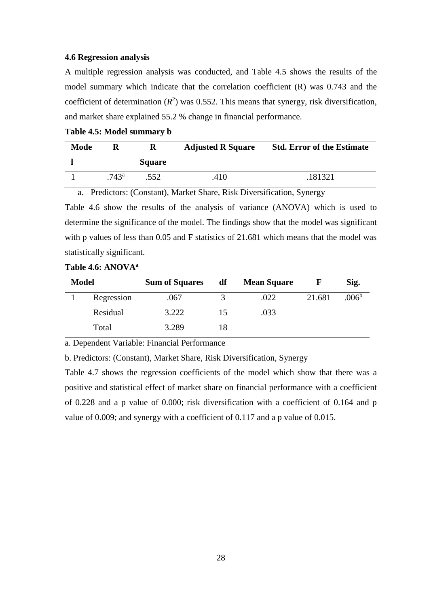## **4.6 Regression analysis**

A multiple regression analysis was conducted, and Table 4.5 shows the results of the model summary which indicate that the correlation coefficient (R) was 0.743 and the coefficient of determination  $(R^2)$  was 0.552. This means that synergy, risk diversification, and market share explained 55.2 % change in financial performance.

<span id="page-38-0"></span>**Table 4.5: Model summary b**

| <b>Mode</b> |                | R             | <b>Adjusted R Square</b> | <b>Std. Error of the Estimate</b> |
|-------------|----------------|---------------|--------------------------|-----------------------------------|
|             |                | <b>Square</b> |                          |                                   |
|             | $.743^{\circ}$ | .552          | .410                     | 181321                            |

a. Predictors: (Constant), Market Share, Risk Diversification, Synergy Table 4.6 show the results of the analysis of variance (ANOVA) which is used to determine the significance of the model. The findings show that the model was significant with p values of less than 0.05 and F statistics of 21.681 which means that the model was statistically significant.

| <b>Model</b> |            | <b>Sum of Squares</b> | df | <b>Mean Square</b> |        | Sig.              |
|--------------|------------|-----------------------|----|--------------------|--------|-------------------|
|              | Regression | .067                  | 3  | .022               | 21.681 | .006 <sup>b</sup> |
|              | Residual   | 3.222                 | 15 | .033               |        |                   |
|              | Total      | 3.289                 | 18 |                    |        |                   |

# <span id="page-38-1"></span>**Table 4.6: ANOVA<sup>a</sup>**

a. Dependent Variable: Financial Performance

b. Predictors: (Constant), Market Share, Risk Diversification, Synergy

Table 4.7 shows the regression coefficients of the model which show that there was a positive and statistical effect of market share on financial performance with a coefficient of 0.228 and a p value of 0.000; risk diversification with a coefficient of 0.164 and p value of 0.009; and synergy with a coefficient of 0.117 and a p value of 0.015.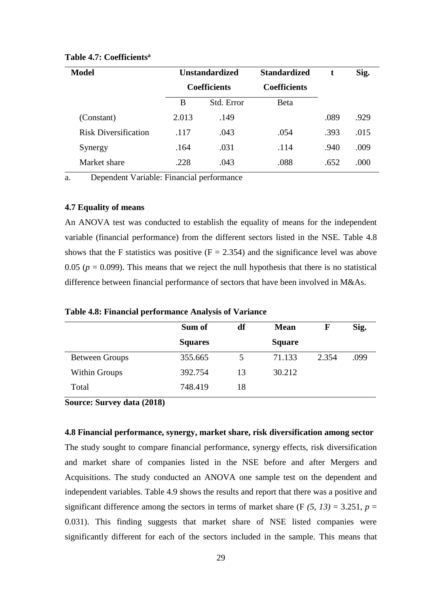| <b>Model</b>                | <b>Unstandardized</b> |            | <b>Standardized</b> |      | Sig. |
|-----------------------------|-----------------------|------------|---------------------|------|------|
|                             | <b>Coefficients</b>   |            | <b>Coefficients</b> |      |      |
|                             | B                     | Std. Error | <b>B</b> eta        |      |      |
| (Constant)                  | 2.013                 | .149       |                     | .089 | .929 |
| <b>Risk Diversification</b> | .117                  | .043       | .054                | .393 | .015 |
| Synergy                     | .164                  | .031       | .114                | .940 | .009 |
| Market share                | .228                  | .043       | .088                | .652 | .000 |

## <span id="page-39-2"></span>**Table 4.7: Coefficients<sup>a</sup>**

<span id="page-39-0"></span>a. Dependent Variable: Financial performance

# **4.7 Equality of means**

An ANOVA test was conducted to establish the equality of means for the independent variable (financial performance) from the different sectors listed in the NSE. Table 4.8 shows that the F statistics was positive  $(F = 2.354)$  and the significance level was above 0.05 ( $p = 0.099$ ). This means that we reject the null hypothesis that there is no statistical difference between financial performance of sectors that have been involved in M&As.

|                       | Sum of         | df | <b>Mean</b>   | F     | Sig. |
|-----------------------|----------------|----|---------------|-------|------|
|                       | <b>Squares</b> |    | <b>Square</b> |       |      |
| <b>Between Groups</b> | 355.665        | 5  | 71.133        | 2.354 | .099 |
| <b>Within Groups</b>  | 392.754        | 13 | 30.212        |       |      |
| Total                 | 748.419        | 18 |               |       |      |

<span id="page-39-3"></span>**Table 4.8: Financial performance Analysis of Variance** 

<span id="page-39-1"></span>**Source: Survey data (2018)** 

**4.8 Financial performance, synergy, market share, risk diversification among sector** 

The study sought to compare financial performance, synergy effects, risk diversification and market share of companies listed in the NSE before and after Mergers and Acquisitions. The study conducted an ANOVA one sample test on the dependent and independent variables. Table 4.9 shows the results and report that there was a positive and significant difference among the sectors in terms of market share  $(F (5, 13) = 3.251, p =$ 0.031). This finding suggests that market share of NSE listed companies were significantly different for each of the sectors included in the sample. This means that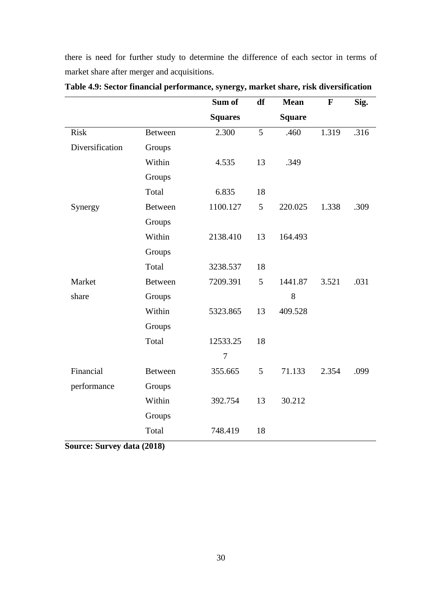there is need for further study to determine the difference of each sector in terms of market share after merger and acquisitions.

|                 |                | Sum of         | df | <b>Mean</b>   | $\mathbf{F}$ | Sig. |
|-----------------|----------------|----------------|----|---------------|--------------|------|
|                 |                | <b>Squares</b> |    | <b>Square</b> |              |      |
| <b>Risk</b>     | <b>Between</b> | 2.300          | 5  | .460          | 1.319        | .316 |
| Diversification | Groups         |                |    |               |              |      |
|                 | Within         | 4.535          | 13 | .349          |              |      |
|                 | Groups         |                |    |               |              |      |
|                 | Total          | 6.835          | 18 |               |              |      |
| Synergy         | <b>Between</b> | 1100.127       | 5  | 220.025       | 1.338        | .309 |
|                 | Groups         |                |    |               |              |      |
|                 | Within         | 2138.410       | 13 | 164.493       |              |      |
|                 | Groups         |                |    |               |              |      |
|                 | Total          | 3238.537       | 18 |               |              |      |
| Market          | <b>Between</b> | 7209.391       | 5  | 1441.87       | 3.521        | .031 |
| share           | Groups         |                |    | 8             |              |      |
|                 | Within         | 5323.865       | 13 | 409.528       |              |      |
|                 | Groups         |                |    |               |              |      |
|                 | Total          | 12533.25       | 18 |               |              |      |
|                 |                | $\overline{7}$ |    |               |              |      |
| Financial       | <b>Between</b> | 355.665        | 5  | 71.133        | 2.354        | .099 |
| performance     | Groups         |                |    |               |              |      |
|                 | Within         | 392.754        | 13 | 30.212        |              |      |
|                 | Groups         |                |    |               |              |      |
|                 | Total          | 748.419        | 18 |               |              |      |

<span id="page-40-1"></span>**Table 4.9: Sector financial performance, synergy, market share, risk diversification**

<span id="page-40-0"></span>**Source: Survey data (2018)**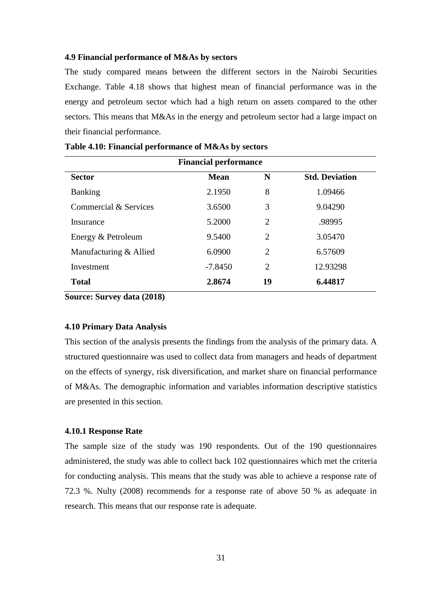# **4.9 Financial performance of M&As by sectors**

The study compared means between the different sectors in the Nairobi Securities Exchange. Table 4.18 shows that highest mean of financial performance was in the energy and petroleum sector which had a high return on assets compared to the other sectors. This means that M&As in the energy and petroleum sector had a large impact on their financial performance.

| <b>Financial performance</b> |             |                |                       |  |
|------------------------------|-------------|----------------|-----------------------|--|
| <b>Sector</b>                | <b>Mean</b> | N              | <b>Std. Deviation</b> |  |
| <b>Banking</b>               | 2.1950      | 8              | 1.09466               |  |
| Commercial & Services        | 3.6500      | 3              | 9.04290               |  |
| Insurance                    | 5.2000      | 2              | .98995                |  |
| Energy & Petroleum           | 9.5400      | 2              | 3.05470               |  |
| Manufacturing & Allied       | 6.0900      | $\overline{2}$ | 6.57609               |  |
| Investment                   | $-7.8450$   | 2              | 12.93298              |  |
| <b>Total</b>                 | 2.8674      | 19             | 6.44817               |  |

<span id="page-41-2"></span>**Table 4.10: Financial performance of M&As by sectors**

<span id="page-41-0"></span>**Source: Survey data (2018)**

# **4.10 Primary Data Analysis**

This section of the analysis presents the findings from the analysis of the primary data. A structured questionnaire was used to collect data from managers and heads of department on the effects of synergy, risk diversification, and market share on financial performance of M&As. The demographic information and variables information descriptive statistics are presented in this section.

## **4.10.1 Response Rate**

<span id="page-41-1"></span>The sample size of the study was 190 respondents. Out of the 190 questionnaires administered, the study was able to collect back 102 questionnaires which met the criteria for conducting analysis. This means that the study was able to achieve a response rate of 72.3 %. Nulty (2008) recommends for a response rate of above 50 % as adequate in research. This means that our response rate is adequate.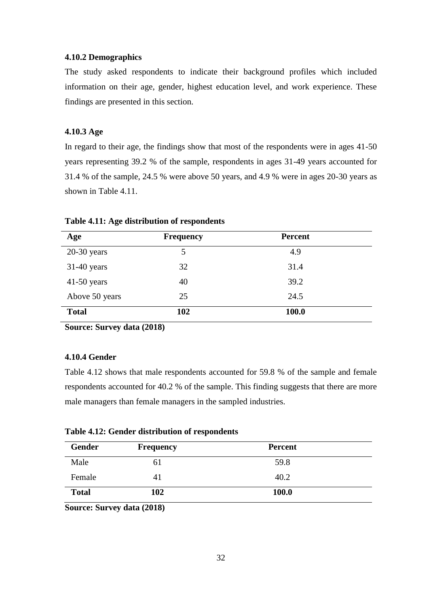# **4.10.2 Demographics**

The study asked respondents to indicate their background profiles which included information on their age, gender, highest education level, and work experience. These findings are presented in this section.

# <span id="page-42-0"></span>**4.10.3 Age**

In regard to their age, the findings show that most of the respondents were in ages 41-50 years representing 39.2 % of the sample, respondents in ages 31-49 years accounted for 31.4 % of the sample, 24.5 % were above 50 years, and 4.9 % were in ages 20-30 years as shown in Table 4.11.

| Age            | <b>Frequency</b> | <b>Percent</b> |  |
|----------------|------------------|----------------|--|
| $20-30$ years  | 5                | 4.9            |  |
| $31-40$ years  | 32               | 31.4           |  |
| $41-50$ years  | 40               | 39.2           |  |
| Above 50 years | 25               | 24.5           |  |
| <b>Total</b>   | 102              | 100.0          |  |

#### <span id="page-42-2"></span>**Table 4.11: Age distribution of respondents**

<span id="page-42-1"></span>**Source: Survey data (2018)** 

# **4.10.4 Gender**

Table 4.12 shows that male respondents accounted for 59.8 % of the sample and female respondents accounted for 40.2 % of the sample. This finding suggests that there are more male managers than female managers in the sampled industries.

<span id="page-42-3"></span>

|  |  | Table 4.12: Gender distribution of respondents |  |  |
|--|--|------------------------------------------------|--|--|
|--|--|------------------------------------------------|--|--|

| Gender       | <b>Frequency</b> | <b>Percent</b> |  |
|--------------|------------------|----------------|--|
| Male         | 61               | 59.8           |  |
| Female       | 41               | 40.2           |  |
| <b>Total</b> | 102              | 100.0          |  |

**Source: Survey data (2018)**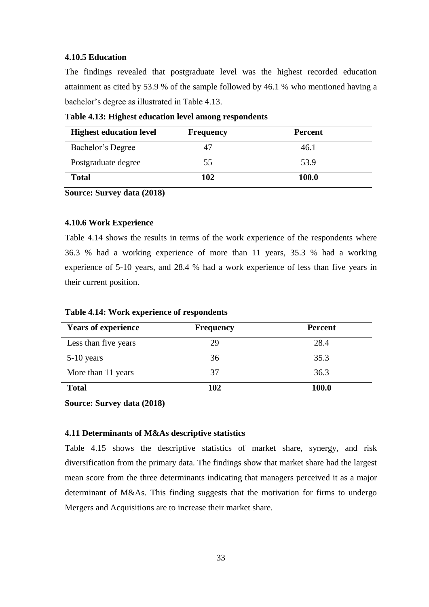# <span id="page-43-0"></span>**4.10.5 Education**

The findings revealed that postgraduate level was the highest recorded education attainment as cited by 53.9 % of the sample followed by 46.1 % who mentioned having a bachelor's degree as illustrated in Table 4.13.

<span id="page-43-3"></span>**Table 4.13: Highest education level among respondents** 

| <b>Highest education level</b> | <b>Frequency</b> | <b>Percent</b> |
|--------------------------------|------------------|----------------|
| Bachelor's Degree              | 47               | 46.1           |
| Postgraduate degree            | 55               | 53.9           |
| <b>Total</b>                   | 102              | 100.0          |

<span id="page-43-1"></span>**Source: Survey data (2018)** 

# **4.10.6 Work Experience**

Table 4.14 shows the results in terms of the work experience of the respondents where 36.3 % had a working experience of more than 11 years, 35.3 % had a working experience of 5-10 years, and 28.4 % had a work experience of less than five years in their current position.

| <b>Years of experience</b> | <b>Frequency</b> | <b>Percent</b> |
|----------------------------|------------------|----------------|
| Less than five years       | 29               | 28.4           |
| $5-10$ years               | 36               | 35.3           |
| More than 11 years         | 37               | 36.3           |
| <b>Total</b>               | 102              | 100.0          |

<span id="page-43-4"></span>**Table 4.14: Work experience of respondents** 

<span id="page-43-2"></span>**Source: Survey data (2018)** 

# **4.11 Determinants of M&As descriptive statistics**

Table 4.15 shows the descriptive statistics of market share, synergy, and risk diversification from the primary data. The findings show that market share had the largest mean score from the three determinants indicating that managers perceived it as a major determinant of M&As. This finding suggests that the motivation for firms to undergo Mergers and Acquisitions are to increase their market share.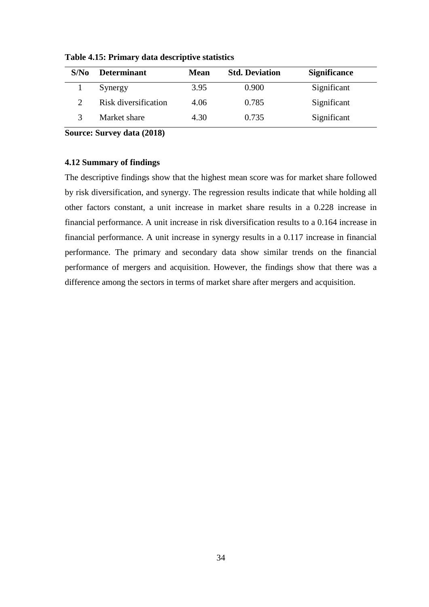| S/No          | <b>Determinant</b>   | <b>Mean</b> | <b>Std. Deviation</b> | <b>Significance</b> |
|---------------|----------------------|-------------|-----------------------|---------------------|
|               | Synergy              | 3.95        | 0.900                 | Significant         |
| $\mathcal{D}$ | Risk diversification | 4.06        | 0.785                 | Significant         |
| $\mathbf 3$   | Market share         | 4.30        | 0.735                 | Significant         |

<span id="page-44-1"></span>**Table 4.15: Primary data descriptive statistics**

<span id="page-44-0"></span>**Source: Survey data (2018)** 

# **4.12 Summary of findings**

The descriptive findings show that the highest mean score was for market share followed by risk diversification, and synergy. The regression results indicate that while holding all other factors constant, a unit increase in market share results in a 0.228 increase in financial performance. A unit increase in risk diversification results to a 0.164 increase in financial performance. A unit increase in synergy results in a 0.117 increase in financial performance. The primary and secondary data show similar trends on the financial performance of mergers and acquisition. However, the findings show that there was a difference among the sectors in terms of market share after mergers and acquisition.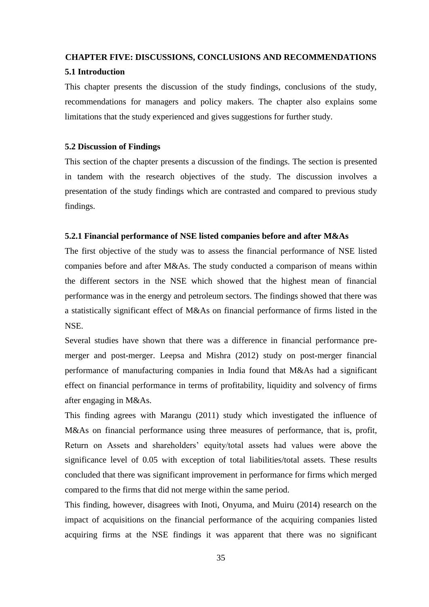#### <span id="page-45-0"></span>**CHAPTER FIVE: DISCUSSIONS, CONCLUSIONS AND RECOMMENDATIONS**

#### <span id="page-45-1"></span>**5.1 Introduction**

This chapter presents the discussion of the study findings, conclusions of the study, recommendations for managers and policy makers. The chapter also explains some limitations that the study experienced and gives suggestions for further study.

# <span id="page-45-2"></span>**5.2 Discussion of Findings**

This section of the chapter presents a discussion of the findings. The section is presented in tandem with the research objectives of the study. The discussion involves a presentation of the study findings which are contrasted and compared to previous study findings.

# <span id="page-45-3"></span>**5.2.1 Financial performance of NSE listed companies before and after M&As**

The first objective of the study was to assess the financial performance of NSE listed companies before and after M&As. The study conducted a comparison of means within the different sectors in the NSE which showed that the highest mean of financial performance was in the energy and petroleum sectors. The findings showed that there was a statistically significant effect of M&As on financial performance of firms listed in the NSE.

Several studies have shown that there was a difference in financial performance premerger and post-merger. Leepsa and Mishra (2012) study on post-merger financial performance of manufacturing companies in India found that M&As had a significant effect on financial performance in terms of profitability, liquidity and solvency of firms after engaging in M&As.

This finding agrees with Marangu (2011) study which investigated the influence of M&As on financial performance using three measures of performance, that is, profit, Return on Assets and shareholders' equity/total assets had values were above the significance level of 0.05 with exception of total liabilities/total assets. These results concluded that there was significant improvement in performance for firms which merged compared to the firms that did not merge within the same period.

This finding, however, disagrees with Inoti, Onyuma, and Muiru (2014) research on the impact of acquisitions on the financial performance of the acquiring companies listed acquiring firms at the NSE findings it was apparent that there was no significant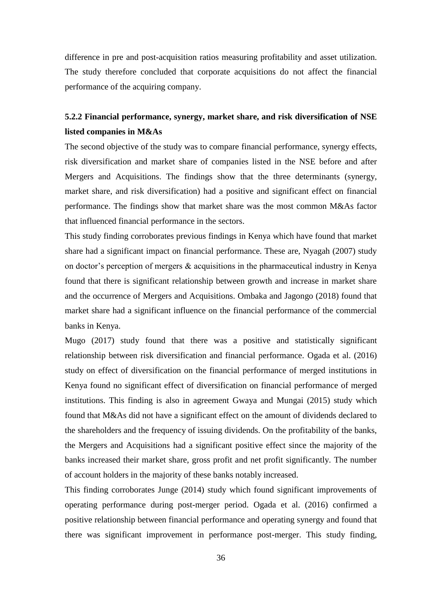difference in pre and post-acquisition ratios measuring profitability and asset utilization. The study therefore concluded that corporate acquisitions do not affect the financial performance of the acquiring company.

# <span id="page-46-0"></span>**5.2.2 Financial performance, synergy, market share, and risk diversification of NSE listed companies in M&As**

The second objective of the study was to compare financial performance, synergy effects, risk diversification and market share of companies listed in the NSE before and after Mergers and Acquisitions. The findings show that the three determinants (synergy, market share, and risk diversification) had a positive and significant effect on financial performance. The findings show that market share was the most common M&As factor that influenced financial performance in the sectors.

This study finding corroborates previous findings in Kenya which have found that market share had a significant impact on financial performance. These are, Nyagah (2007) study on doctor's perception of mergers & acquisitions in the pharmaceutical industry in Kenya found that there is significant relationship between growth and increase in market share and the occurrence of Mergers and Acquisitions. Ombaka and Jagongo (2018) found that market share had a significant influence on the financial performance of the commercial banks in Kenya.

Mugo (2017) study found that there was a positive and statistically significant relationship between risk diversification and financial performance. Ogada et al. (2016) study on effect of diversification on the financial performance of merged institutions in Kenya found no significant effect of diversification on financial performance of merged institutions. This finding is also in agreement Gwaya and Mungai (2015) study which found that M&As did not have a significant effect on the amount of dividends declared to the shareholders and the frequency of issuing dividends. On the profitability of the banks, the Mergers and Acquisitions had a significant positive effect since the majority of the banks increased their market share, gross profit and net profit significantly. The number of account holders in the majority of these banks notably increased.

This finding corroborates Junge (2014) study which found significant improvements of operating performance during post-merger period. Ogada et al. (2016) confirmed a positive relationship between financial performance and operating synergy and found that there was significant improvement in performance post-merger. This study finding,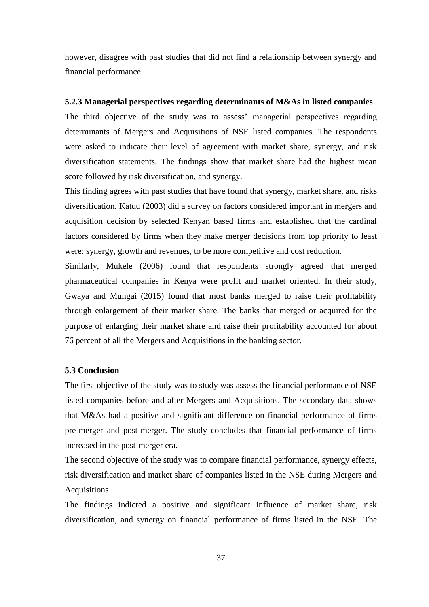however, disagree with past studies that did not find a relationship between synergy and financial performance.

# <span id="page-47-0"></span>**5.2.3 Managerial perspectives regarding determinants of M&As in listed companies**

The third objective of the study was to assess' managerial perspectives regarding determinants of Mergers and Acquisitions of NSE listed companies. The respondents were asked to indicate their level of agreement with market share, synergy, and risk diversification statements. The findings show that market share had the highest mean score followed by risk diversification, and synergy.

This finding agrees with past studies that have found that synergy, market share, and risks diversification. Katuu (2003) did a survey on factors considered important in mergers and acquisition decision by selected Kenyan based firms and established that the cardinal factors considered by firms when they make merger decisions from top priority to least were: synergy, growth and revenues, to be more competitive and cost reduction.

Similarly, Mukele (2006) found that respondents strongly agreed that merged pharmaceutical companies in Kenya were profit and market oriented. In their study, Gwaya and Mungai (2015) found that most banks merged to raise their profitability through enlargement of their market share. The banks that merged or acquired for the purpose of enlarging their market share and raise their profitability accounted for about 76 percent of all the Mergers and Acquisitions in the banking sector.

# <span id="page-47-1"></span>**5.3 Conclusion**

The first objective of the study was to study was assess the financial performance of NSE listed companies before and after Mergers and Acquisitions. The secondary data shows that M&As had a positive and significant difference on financial performance of firms pre-merger and post-merger. The study concludes that financial performance of firms increased in the post-merger era.

The second objective of the study was to compare financial performance, synergy effects, risk diversification and market share of companies listed in the NSE during Mergers and Acquisitions

The findings indicted a positive and significant influence of market share, risk diversification, and synergy on financial performance of firms listed in the NSE. The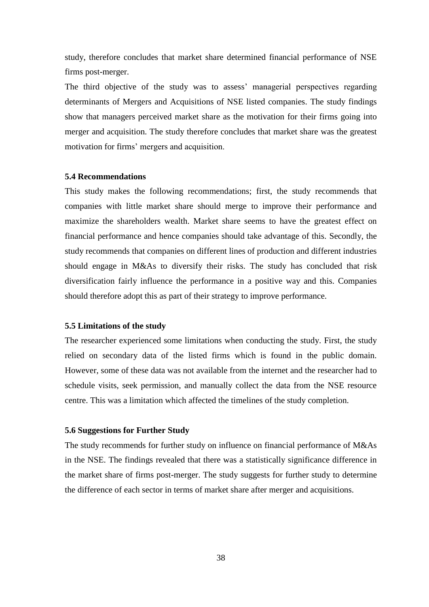study, therefore concludes that market share determined financial performance of NSE firms post-merger.

The third objective of the study was to assess' managerial perspectives regarding determinants of Mergers and Acquisitions of NSE listed companies. The study findings show that managers perceived market share as the motivation for their firms going into merger and acquisition. The study therefore concludes that market share was the greatest motivation for firms' mergers and acquisition.

## <span id="page-48-0"></span>**5.4 Recommendations**

This study makes the following recommendations; first, the study recommends that companies with little market share should merge to improve their performance and maximize the shareholders wealth. Market share seems to have the greatest effect on financial performance and hence companies should take advantage of this. Secondly, the study recommends that companies on different lines of production and different industries should engage in M&As to diversify their risks. The study has concluded that risk diversification fairly influence the performance in a positive way and this. Companies should therefore adopt this as part of their strategy to improve performance.

#### <span id="page-48-1"></span>**5.5 Limitations of the study**

The researcher experienced some limitations when conducting the study. First, the study relied on secondary data of the listed firms which is found in the public domain. However, some of these data was not available from the internet and the researcher had to schedule visits, seek permission, and manually collect the data from the NSE resource centre. This was a limitation which affected the timelines of the study completion.

# <span id="page-48-2"></span>**5.6 Suggestions for Further Study**

The study recommends for further study on influence on financial performance of M&As in the NSE. The findings revealed that there was a statistically significance difference in the market share of firms post-merger. The study suggests for further study to determine the difference of each sector in terms of market share after merger and acquisitions.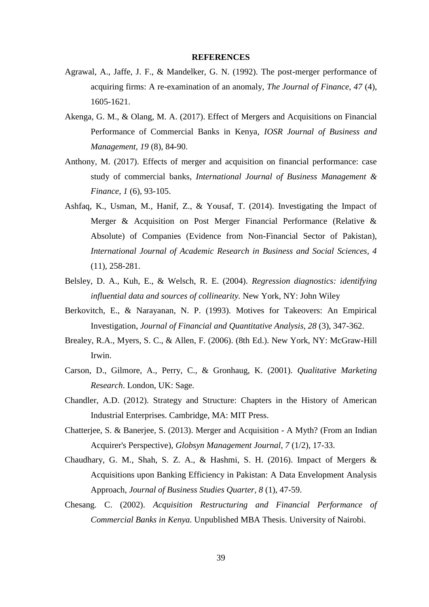#### **REFERENCES**

- <span id="page-49-0"></span>Agrawal, A., Jaffe, J. F., & Mandelker, G. N. (1992). The post-merger performance of acquiring firms: A re-examination of an anomaly, *The Journal of Finance, 47* (4), 1605-1621.
- Akenga, G. M., & Olang, M. A. (2017). Effect of Mergers and Acquisitions on Financial Performance of Commercial Banks in Kenya, *IOSR Journal of Business and Management, 19* (8), 84-90.
- Anthony, M. (2017). Effects of merger and acquisition on financial performance: case study of commercial banks, *International Journal of Business Management & Finance, 1* (6), 93-105.
- Ashfaq, K., Usman, M., Hanif, Z., & Yousaf, T. (2014). Investigating the Impact of Merger & Acquisition on Post Merger Financial Performance (Relative & Absolute) of Companies (Evidence from Non-Financial Sector of Pakistan), *International Journal of Academic Research in Business and Social Sciences, 4*  (11), 258-281.
- Belsley, D. A., Kuh, E., & Welsch, R. E. (2004). *Regression diagnostics: identifying influential data and sources of collinearity.* New York, NY: John Wiley
- Berkovitch, E., & Narayanan, N. P. (1993). Motives for Takeovers: An Empirical Investigation, *Journal of Financial and Quantitative Analysis, 28* (3), 347-362.
- Brealey, R.A., Myers, S. C., & Allen, F. (2006). (8th Ed.). New York, NY: McGraw-Hill Irwin.
- Carson, D., Gilmore, A., Perry, C., & Gronhaug, K. (2001). *Qualitative Marketing Research*. London, UK: Sage.
- Chandler, A.D. (2012). Strategy and Structure: Chapters in the History of American Industrial Enterprises. Cambridge, MA: MIT Press.
- Chatterjee, S. & Banerjee, S. (2013). Merger and Acquisition A Myth? (From an Indian Acquirer's Perspective), *Globsyn Management Journal, 7* (1/2), 17-33.
- Chaudhary, G. M., Shah, S. Z. A., & Hashmi, S. H. (2016). Impact of Mergers & Acquisitions upon Banking Efficiency in Pakistan: A Data Envelopment Analysis Approach, *Journal of Business Studies Quarter, 8* (1), 47-59.
- Chesang. C. (2002). *Acquisition Restructuring and Financial Performance of Commercial Banks in Kenya.* Unpublished MBA Thesis. University of Nairobi.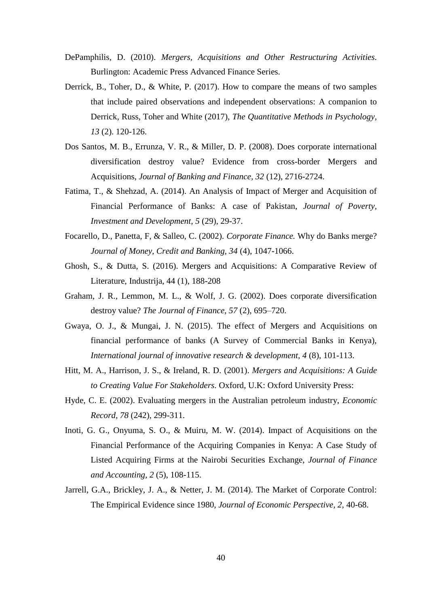- DePamphilis, D. (2010). *Mergers, Acquisitions and Other Restructuring Activities.* Burlington: Academic Press Advanced Finance Series.
- Derrick, B., Toher, D., & White, P. (2017). How to compare the means of two samples that include paired observations and independent observations: A companion to Derrick, Russ, Toher and White (2017), *The Quantitative Methods in Psychology, 13* (2). 120-126.
- Dos Santos, M. B., Errunza, V. R., & Miller, D. P. (2008). Does corporate international diversification destroy value? Evidence from cross-border Mergers and Acquisitions, *Journal of Banking and Finance, 32* (12), 2716-2724.
- Fatima, T., & Shehzad, A. (2014). An Analysis of Impact of Merger and Acquisition of Financial Performance of Banks: A case of Pakistan, *Journal of Poverty, Investment and Development, 5* (29), 29-37.
- Focarello, D., Panetta, F, & Salleo, C. (2002). *Corporate Finance.* Why do Banks merge? *Journal of Money, Credit and Banking, 34* (4), 1047-1066.
- Ghosh, S., & Dutta, S. (2016). Mergers and Acquisitions: A Comparative Review of Literature, Industrija, 44 (1), 188-208
- Graham, J. R., Lemmon, M. L., & Wolf, J. G. (2002). Does corporate diversification destroy value? *The Journal of Finance, 57* (2), 695–720.
- Gwaya, O. J., & Mungai, J. N. (2015). The effect of Mergers and Acquisitions on financial performance of banks (A Survey of Commercial Banks in Kenya), *International journal of innovative research & development, 4* (8), 101-113.
- Hitt, M. A., Harrison, J. S., & Ireland, R. D. (2001). *Mergers and Acquisitions: A Guide to Creating Value For Stakeholders.* Oxford, U.K: Oxford University Press:
- Hyde, C. E. (2002). Evaluating mergers in the Australian petroleum industry, *Economic Record, 78* (242), 299-311.
- Inoti, G. G., Onyuma, S. O., & Muiru, M. W. (2014). Impact of Acquisitions on the Financial Performance of the Acquiring Companies in Kenya: A Case Study of Listed Acquiring Firms at the Nairobi Securities Exchange, *Journal of Finance and Accounting, 2* (5), 108-115.
- Jarrell, G.A., Brickley, J. A., & Netter, J. M. (2014). The Market of Corporate Control: The Empirical Evidence since 1980, *Journal of Economic Perspective, 2,* 40-68.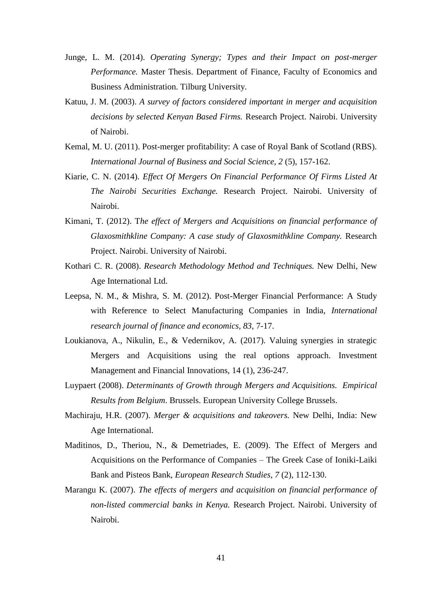- Junge, L. M. (2014). *Operating Synergy; Types and their Impact on post-merger Performance.* Master Thesis. Department of Finance, Faculty of Economics and Business Administration. Tilburg University.
- Katuu, J. M. (2003). *A survey of factors considered important in merger and acquisition decisions by selected Kenyan Based Firms.* Research Project. Nairobi. University of Nairobi.
- Kemal, M. U. (2011). Post-merger profitability: A case of Royal Bank of Scotland (RBS). *International Journal of Business and Social Science, 2* (5), 157-162.
- Kiarie, C. N. (2014). *Effect Of Mergers On Financial Performance Of Firms Listed At The Nairobi Securities Exchange.* Research Project. Nairobi. University of Nairobi.
- Kimani, T. (2012). T*he effect of Mergers and Acquisitions on financial performance of Glaxosmithkline Company: A case study of Glaxosmithkline Company.* Research Project. Nairobi. University of Nairobi.
- Kothari C. R. (2008). *Research Methodology Method and Techniques.* New Delhi, New Age International Ltd.
- Leepsa, N. M., & Mishra, S. M. (2012). Post-Merger Financial Performance: A Study with Reference to Select Manufacturing Companies in India, *International research journal of finance and economics, 83,* 7-17.
- Loukianova, A., Nikulin, E., & Vedernikov, A. (2017). Valuing synergies in strategic Mergers and Acquisitions using the real options approach. Investment Management and Financial Innovations, 14 (1), 236-247.
- Luypaert (2008). *Determinants of Growth through Mergers and Acquisitions. Empirical Results from Belgium*. Brussels. European University College Brussels.
- Machiraju, H.R. (2007). *Merger & acquisitions and takeovers.* New Delhi, India: New Age International.
- Maditinos, D., Theriou, N., & Demetriades, E. (2009). The Effect of Mergers and Acquisitions on the Performance of Companies – The Greek Case of Ioniki-Laiki Bank and Pisteos Bank, *European Research Studies, 7* (2), 112-130.
- Marangu K. (2007). *The effects of mergers and acquisition on financial performance of non-listed commercial banks in Kenya.* Research Project. Nairobi. University of Nairobi.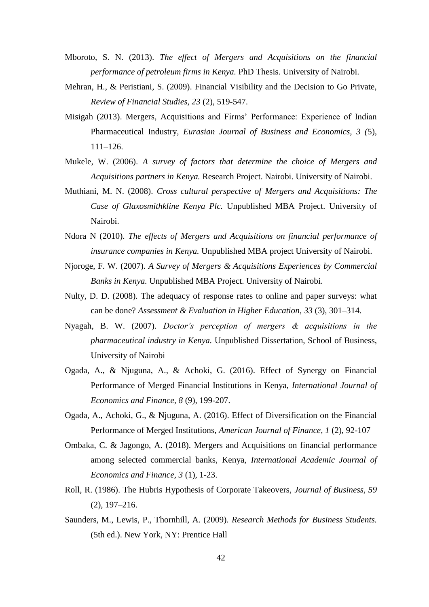- Mboroto, S. N. (2013). *The effect of Mergers and Acquisitions on the financial performance of petroleum firms in Kenya.* PhD Thesis. University of Nairobi.
- Mehran, H., & Peristiani, S. (2009). Financial Visibility and the Decision to Go Private, *Review of Financial Studies, 23* (2), 519-547.
- Misigah (2013). Mergers, Acquisitions and Firms' Performance: Experience of Indian Pharmaceutical Industry, *Eurasian Journal of Business and Economics, 3 (*5), 111–126.
- Mukele, W. (2006). *A survey of factors that determine the choice of Mergers and Acquisitions partners in Kenya.* Research Project. Nairobi. University of Nairobi.
- Muthiani, M. N. (2008). *Cross cultural perspective of Mergers and Acquisitions: The Case of Glaxosmithkline Kenya Plc.* Unpublished MBA Project. University of Nairobi.
- Ndora N (2010). *The effects of Mergers and Acquisitions on financial performance of insurance companies in Kenya.* Unpublished MBA project University of Nairobi.
- Njoroge, F. W. (2007). *A Survey of Mergers & Acquisitions Experiences by Commercial Banks in Kenya.* Unpublished MBA Project. University of Nairobi.
- Nulty, D. D. (2008). The adequacy of response rates to online and paper surveys: what can be done? *Assessment & Evaluation in Higher Education, 33* (3), 301–314.
- Nyagah, B. W. (2007). *Doctor's perception of mergers & acquisitions in the pharmaceutical industry in Kenya.* Unpublished Dissertation, School of Business, University of Nairobi
- Ogada, A., & Njuguna, A., & Achoki, G. (2016). Effect of Synergy on Financial Performance of Merged Financial Institutions in Kenya, *International Journal of Economics and Finance, 8* (9), 199-207.
- Ogada, A., Achoki, G., & Njuguna, A. (2016). Effect of Diversification on the Financial Performance of Merged Institutions, *American Journal of Finance, 1* (2), 92-107
- Ombaka, C. & Jagongo, A. (2018). Mergers and Acquisitions on financial performance among selected commercial banks, Kenya, *International Academic Journal of Economics and Finance, 3* (1), 1-23.
- Roll, R. (1986). The Hubris Hypothesis of Corporate Takeovers, *Journal of Business, 59* (2), 197–216.
- Saunders, M., Lewis, P., Thornhill, A. (2009). *Research Methods for Business Students.* (5th ed.). New York, NY: Prentice Hall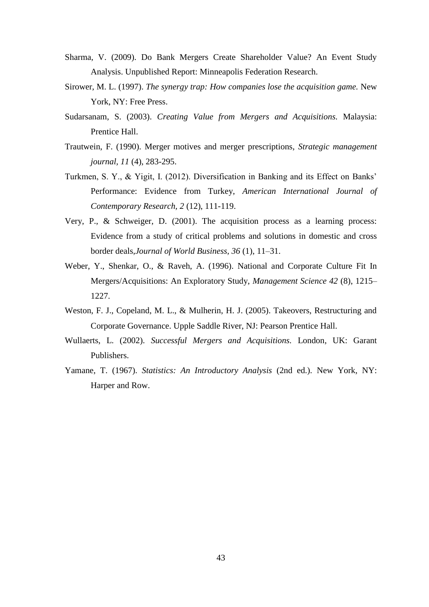- Sharma, V. (2009). Do Bank Mergers Create Shareholder Value? An Event Study Analysis. Unpublished Report: Minneapolis Federation Research.
- Sirower, M. L. (1997). *The synergy trap: How companies lose the acquisition game.* New York, NY: Free Press.
- Sudarsanam, S. (2003). *Creating Value from Mergers and Acquisitions.* Malaysia: Prentice Hall.
- Trautwein, F. (1990). Merger motives and merger prescriptions, *Strategic management journal, 11* (4), 283-295.
- Turkmen, S. Y., & Yigit, I. (2012). Diversification in Banking and its Effect on Banks' Performance: Evidence from Turkey, *American International Journal of Contemporary Research, 2* (12), 111-119.
- Very, P., & Schweiger, D. (2001). The acquisition process as a learning process: Evidence from a study of critical problems and solutions in domestic and cross border deals,*Journal of World Business, 36* (1), 11–31.
- Weber, Y., Shenkar, O., & Raveh, A. (1996). National and Corporate Culture Fit In Mergers/Acquisitions: An Exploratory Study, *Management Science 42* (8), 1215– 1227.
- Weston, F. J., Copeland, M. L., & Mulherin, H. J. (2005). Takeovers, Restructuring and Corporate Governance. Upple Saddle River, NJ: Pearson Prentice Hall.
- Wullaerts, L. (2002). *Successful Mergers and Acquisitions.* London, UK: Garant Publishers.
- Yamane, T. (1967). *Statistics: An Introductory Analysis* (2nd ed.). New York, NY: Harper and Row.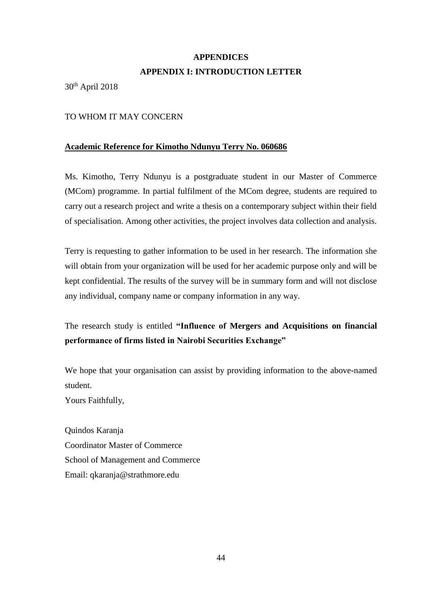# **APPENDICES APPENDIX I: INTRODUCTION LETTER**

<span id="page-54-1"></span><span id="page-54-0"></span>30th April 2018

# TO WHOM IT MAY CONCERN

# **Academic Reference for Kimotho Ndunyu Terry No. 060686**

Ms. Kimotho, Terry Ndunyu is a postgraduate student in our Master of Commerce (MCom) programme. In partial fulfilment of the MCom degree, students are required to carry out a research project and write a thesis on a contemporary subject within their field of specialisation. Among other activities, the project involves data collection and analysis.

Terry is requesting to gather information to be used in her research. The information she will obtain from your organization will be used for her academic purpose only and will be kept confidential. The results of the survey will be in summary form and will not disclose any individual, company name or company information in any way.

# The research study is entitled **"Influence of Mergers and Acquisitions on financial performance of firms listed in Nairobi Securities Exchange"**

We hope that your organisation can assist by providing information to the above-named student.

Yours Faithfully,

Quindos Karanja Coordinator Master of Commerce School of Management and Commerce Email: qkaranja@strathmore.edu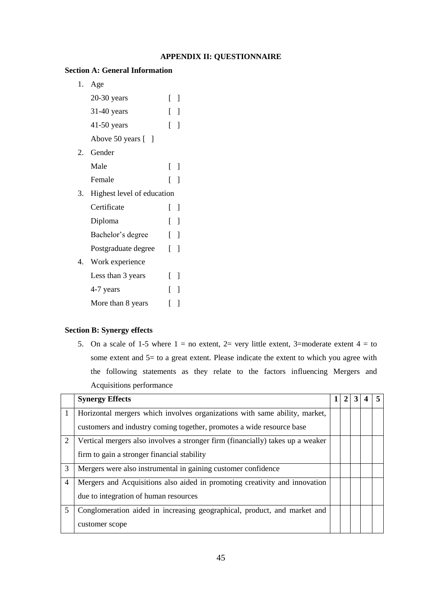# **APPENDIX II: QUESTIONNAIRE**

# <span id="page-55-0"></span>**Section A: General Information**

1. Age 20-30 years [ ] 31-40 years [ ] 41-50 years [ ] Above 50 years [ ] 2. Gender Male [ ] Female [ ] 3. Highest level of education Certificate [ ] Diploma [ ] Bachelor's degree [ ] Postgraduate degree [ ] 4. Work experience Less than 3 years [ ] 4-7 years [ ] More than 8 years [ ]

# **Section B: Synergy effects**

5. On a scale of 1-5 where  $1 =$  no extent, 2= very little extent, 3=moderate extent  $4 =$  to some extent and 5= to a great extent. Please indicate the extent to which you agree with the following statements as they relate to the factors influencing Mergers and Acquisitions performance

|   | <b>Synergy Effects</b>                                                         |  |  |  |
|---|--------------------------------------------------------------------------------|--|--|--|
| 1 | Horizontal mergers which involves organizations with same ability, market,     |  |  |  |
|   | customers and industry coming together, promotes a wide resource base          |  |  |  |
| 2 | Vertical mergers also involves a stronger firm (financially) takes up a weaker |  |  |  |
|   | firm to gain a stronger financial stability                                    |  |  |  |
| 3 | Mergers were also instrumental in gaining customer confidence                  |  |  |  |
| 4 | Mergers and Acquisitions also aided in promoting creativity and innovation     |  |  |  |
|   | due to integration of human resources                                          |  |  |  |
| 5 | Conglomeration aided in increasing geographical, product, and market and       |  |  |  |
|   | customer scope                                                                 |  |  |  |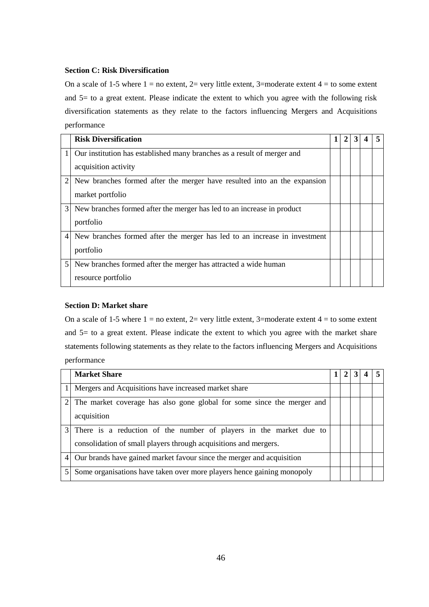# **Section C: Risk Diversification**

On a scale of 1-5 where  $1 = no$  extent,  $2 = very$  little extent, 3=moderate extent  $4 = to$  some extent and 5= to a great extent. Please indicate the extent to which you agree with the following risk diversification statements as they relate to the factors influencing Mergers and Acquisitions performance

|   | <b>Risk Diversification</b>                                               |  |  |  |
|---|---------------------------------------------------------------------------|--|--|--|
|   | Our institution has established many branches as a result of merger and   |  |  |  |
|   | acquisition activity                                                      |  |  |  |
|   | New branches formed after the merger have resulted into an the expansion  |  |  |  |
|   | market portfolio                                                          |  |  |  |
| 3 | New branches formed after the merger has led to an increase in product    |  |  |  |
|   | portfolio                                                                 |  |  |  |
| 4 | New branches formed after the merger has led to an increase in investment |  |  |  |
|   | portfolio                                                                 |  |  |  |
| 5 | New branches formed after the merger has attracted a wide human           |  |  |  |
|   | resource portfolio                                                        |  |  |  |

# **Section D: Market share**

On a scale of 1-5 where  $1 = no$  extent,  $2 = very$  little extent,  $3 = 3$  moderate extent  $4 = to$  some extent and 5= to a great extent. Please indicate the extent to which you agree with the market share statements following statements as they relate to the factors influencing Mergers and Acquisitions performance

|                | <b>Market Share</b>                                                                                                                    |  |  |  |
|----------------|----------------------------------------------------------------------------------------------------------------------------------------|--|--|--|
|                | 1   Mergers and Acquisitions have increased market share                                                                               |  |  |  |
|                | The market coverage has also gone global for some since the merger and<br>acquisition                                                  |  |  |  |
| 3              | There is a reduction of the number of players in the market due to<br>consolidation of small players through acquisitions and mergers. |  |  |  |
| $\overline{4}$ | Our brands have gained market favour since the merger and acquisition                                                                  |  |  |  |
| 5              | Some organisations have taken over more players hence gaining monopoly                                                                 |  |  |  |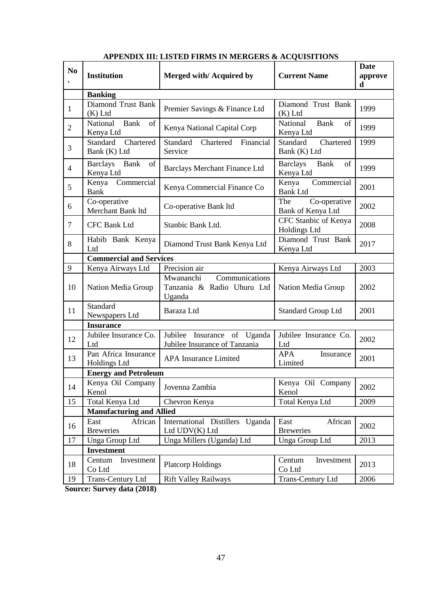<span id="page-57-0"></span>

| N <sub>0</sub> | <b>Institution</b>                          | Merged with/Acquired by                                             | <b>Current Name</b>                         | <b>Date</b><br>approve<br>d |  |  |
|----------------|---------------------------------------------|---------------------------------------------------------------------|---------------------------------------------|-----------------------------|--|--|
|                | <b>Banking</b>                              |                                                                     |                                             |                             |  |  |
| 1              | <b>Diamond Trust Bank</b><br>$(K)$ Ltd      | Premier Savings & Finance Ltd                                       | Diamond Trust Bank<br>(K) Ltd               | 1999                        |  |  |
| $\overline{2}$ | National<br>of<br>Bank<br>Kenya Ltd         | Kenya National Capital Corp                                         | National<br>Bank<br>of<br>Kenya Ltd         | 1999                        |  |  |
| 3              | Standard<br>Chartered<br>Bank (K) Ltd       | Standard<br>Chartered<br>Financial<br>Service                       | Standard<br>Chartered<br>Bank (K) Ltd       | 1999                        |  |  |
| $\overline{4}$ | Bank<br><b>Barclays</b><br>of<br>Kenya Ltd  | Barclays Merchant Finance Ltd                                       | Bank<br><b>Barclays</b><br>of<br>Kenya Ltd  | 1999                        |  |  |
| 5              | Kenya<br>Commercial<br>Bank                 | Kenya Commercial Finance Co                                         | Kenya<br>Commercial<br><b>Bank Ltd</b>      | 2001                        |  |  |
| 6              | Co-operative<br>Merchant Bank ltd           | Co-operative Bank ltd                                               | The<br>Co-operative<br>Bank of Kenya Ltd    | 2002                        |  |  |
| $\tau$         | <b>CFC Bank Ltd</b>                         | Stanbic Bank Ltd.                                                   | CFC Stanbic of Kenya<br><b>Holdings Ltd</b> | 2008                        |  |  |
| 8              | Habib Bank Kenya<br>Ltd                     | Diamond Trust Bank Kenya Ltd                                        | Diamond Trust Bank<br>Kenya Ltd             | 2017                        |  |  |
|                | <b>Commercial and Services</b>              |                                                                     |                                             |                             |  |  |
| 9              | Kenya Airways Ltd                           | Precision air                                                       | Kenya Airways Ltd                           | 2003                        |  |  |
| 10             | Nation Media Group                          | Communications<br>Mwananchi<br>Tanzania & Radio Uhuru Ltd<br>Uganda | Nation Media Group                          | 2002                        |  |  |
| 11             | Standard<br>Newspapers Ltd                  | Baraza Ltd                                                          | <b>Standard Group Ltd</b>                   | 2001                        |  |  |
|                | <b>Insurance</b>                            |                                                                     |                                             |                             |  |  |
| 12             | Jubilee Insurance Co.<br>Ltd                | Jubilee<br>Insurance of Uganda<br>Jubilee Insurance of Tanzania     | Jubilee Insurance Co.<br>Ltd                | 2002                        |  |  |
| 13             | Pan Africa Insurance<br><b>Holdings Ltd</b> | APA Insurance Limited                                               | <b>APA</b><br>Insurance<br>Limited          | 2001                        |  |  |
|                | <b>Energy and Petroleum</b>                 |                                                                     |                                             |                             |  |  |
| 14             | Kenya Oil Company<br>Kenol                  | Jovenna Zambia                                                      | Kenya Oil Company<br>Kenol                  | 2002                        |  |  |
| 15             | Total Kenya Ltd                             | Chevron Kenya                                                       | Total Kenya Ltd                             | 2009                        |  |  |
|                | <b>Manufacturing and Allied</b>             |                                                                     |                                             |                             |  |  |
| 16             | East<br>African<br><b>Breweries</b>         | International Distillers Uganda<br>Ltd UDV(K) Ltd                   | East<br>African<br><b>Breweries</b>         | 2002                        |  |  |
| 17             | Unga Group Ltd                              | Unga Millers (Uganda) Ltd                                           | Unga Group Ltd                              | 2013                        |  |  |
|                | <b>Investment</b>                           |                                                                     |                                             |                             |  |  |
| 18             | Centum<br>Investment<br>Co Ltd              | <b>Platcorp Holdings</b>                                            | Centum<br>Investment<br>Co Ltd              | 2013                        |  |  |
| 19             | Trans-Century Ltd                           | <b>Rift Valley Railways</b>                                         | <b>Trans-Century Ltd</b>                    | 2006                        |  |  |

# **APPENDIX III: LISTED FIRMS IN MERGERS & ACQUISITIONS**

**Source: Survey data (2018)**